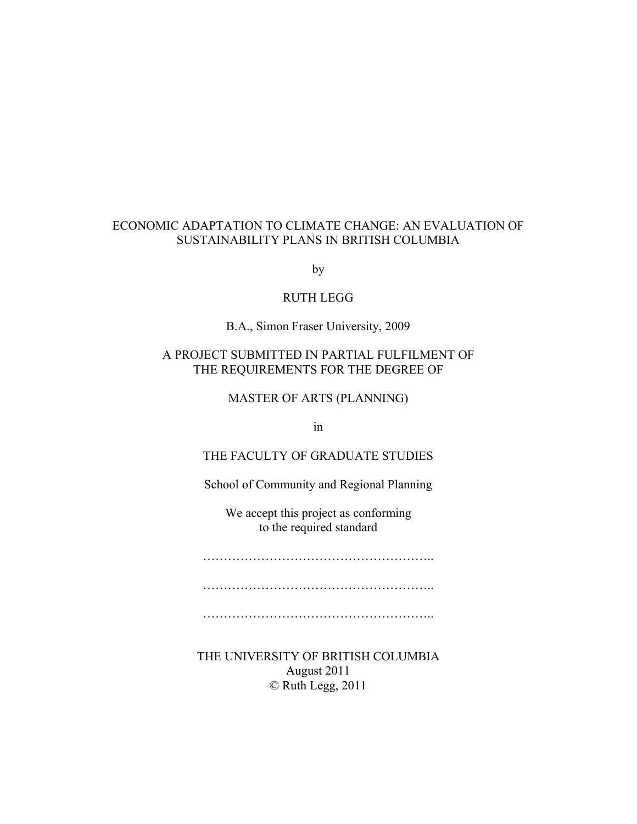#### ECONOMIC ADAPTATION TO CLIMATE CHANGE: AN EVALUATION OF SUSTAINABILITY PLANS IN BRITISH COLUMBIA

by

#### RUTH LEGG

B.A., Simon Fraser University, 2009

### A PROJECT SUBMITTED IN PARTIAL FULFILMENT OF THE REQUIREMENTS FOR THE DEGREE OF

MASTER OF ARTS (PLANNING)

in

#### THE FACULTY OF GRADUATE STUDIES

School of Community and Regional Planning

We accept this project as conforming to the required standard

……………………………………………………………………………

…………………………………………………………

………………………………………………………

THE UNIVERSITY OF BRITISH COLUMBIA August 2011 © Ruth Legg, 2011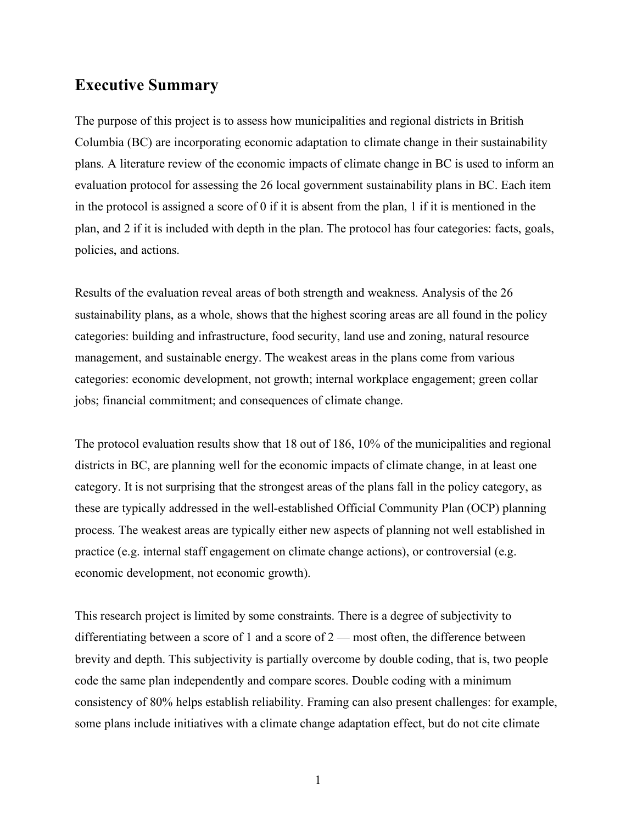# **Executive Summary**

The purpose of this project is to assess how municipalities and regional districts in British Columbia (BC) are incorporating economic adaptation to climate change in their sustainability plans. A literature review of the economic impacts of climate change in BC is used to inform an evaluation protocol for assessing the 26 local government sustainability plans in BC. Each item in the protocol is assigned a score of 0 if it is absent from the plan, 1 if it is mentioned in the plan, and 2 if it is included with depth in the plan. The protocol has four categories: facts, goals, policies, and actions.

Results of the evaluation reveal areas of both strength and weakness. Analysis of the 26 sustainability plans, as a whole, shows that the highest scoring areas are all found in the policy categories: building and infrastructure, food security, land use and zoning, natural resource management, and sustainable energy. The weakest areas in the plans come from various categories: economic development, not growth; internal workplace engagement; green collar jobs; financial commitment; and consequences of climate change.

The protocol evaluation results show that 18 out of 186, 10% of the municipalities and regional districts in BC, are planning well for the economic impacts of climate change, in at least one category. It is not surprising that the strongest areas of the plans fall in the policy category, as these are typically addressed in the well-established Official Community Plan (OCP) planning process. The weakest areas are typically either new aspects of planning not well established in practice (e.g. internal staff engagement on climate change actions), or controversial (e.g. economic development, not economic growth).

This research project is limited by some constraints. There is a degree of subjectivity to differentiating between a score of 1 and a score of 2 — most often, the difference between brevity and depth. This subjectivity is partially overcome by double coding, that is, two people code the same plan independently and compare scores. Double coding with a minimum consistency of 80% helps establish reliability. Framing can also present challenges: for example, some plans include initiatives with a climate change adaptation effect, but do not cite climate

1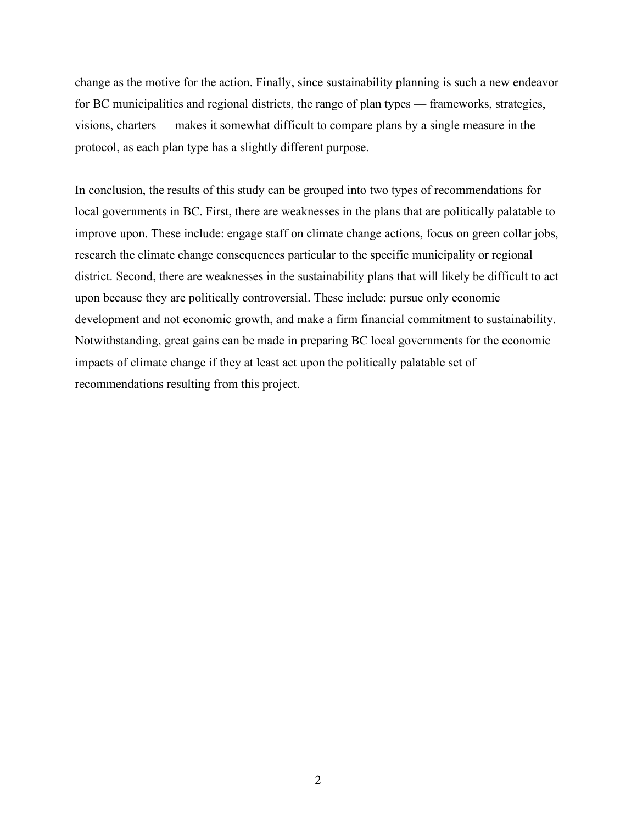change as the motive for the action. Finally, since sustainability planning is such a new endeavor for BC municipalities and regional districts, the range of plan types — frameworks, strategies, visions, charters — makes it somewhat difficult to compare plans by a single measure in the protocol, as each plan type has a slightly different purpose.

In conclusion, the results of this study can be grouped into two types of recommendations for local governments in BC. First, there are weaknesses in the plans that are politically palatable to improve upon. These include: engage staff on climate change actions, focus on green collar jobs, research the climate change consequences particular to the specific municipality or regional district. Second, there are weaknesses in the sustainability plans that will likely be difficult to act upon because they are politically controversial. These include: pursue only economic development and not economic growth, and make a firm financial commitment to sustainability. Notwithstanding, great gains can be made in preparing BC local governments for the economic impacts of climate change if they at least act upon the politically palatable set of recommendations resulting from this project.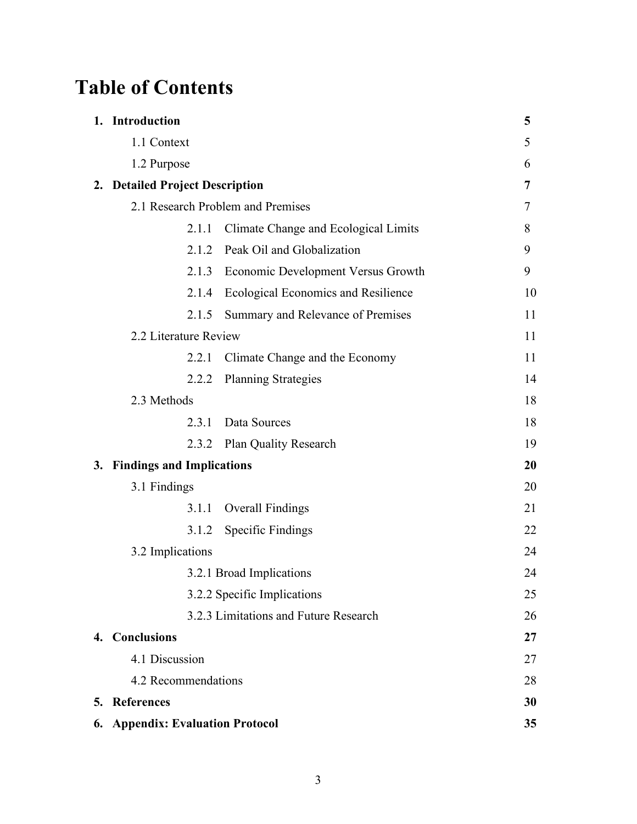# **Table of Contents**

| 1. Introduction                  |                                            | 5  |
|----------------------------------|--------------------------------------------|----|
| 1.1 Context                      |                                            | 5  |
| 1.2 Purpose                      |                                            | 6  |
| 2. Detailed Project Description  |                                            | 7  |
|                                  | 2.1 Research Problem and Premises          | 7  |
| 2.1.1                            | Climate Change and Ecological Limits       | 8  |
| 2.1.2                            | Peak Oil and Globalization                 | 9  |
| 2.1.3                            | <b>Economic Development Versus Growth</b>  | 9  |
| 2.1.4                            | <b>Ecological Economics and Resilience</b> | 10 |
| 2.1.5                            | Summary and Relevance of Premises          | 11 |
| 2.2 Literature Review            |                                            | 11 |
| 2.2.1                            | Climate Change and the Economy             | 11 |
| 2.2.2                            | <b>Planning Strategies</b>                 | 14 |
| 2.3 Methods                      |                                            | 18 |
| 2.3.1                            | Data Sources                               | 18 |
| 2.3.2                            | <b>Plan Quality Research</b>               | 19 |
| 3. Findings and Implications     |                                            | 20 |
| 3.1 Findings                     |                                            | 20 |
| 3.1.1                            | <b>Overall Findings</b>                    | 21 |
| 3.1.2                            | <b>Specific Findings</b>                   | 22 |
| 3.2 Implications                 |                                            | 24 |
|                                  | 3.2.1 Broad Implications                   | 24 |
|                                  | 3.2.2 Specific Implications                | 25 |
|                                  | 3.2.3 Limitations and Future Research      | 26 |
| 4. Conclusions                   |                                            | 27 |
| 4.1 Discussion                   |                                            | 27 |
| 4.2 Recommendations              |                                            | 28 |
| 5. References                    |                                            | 30 |
| 6. Appendix: Evaluation Protocol |                                            | 35 |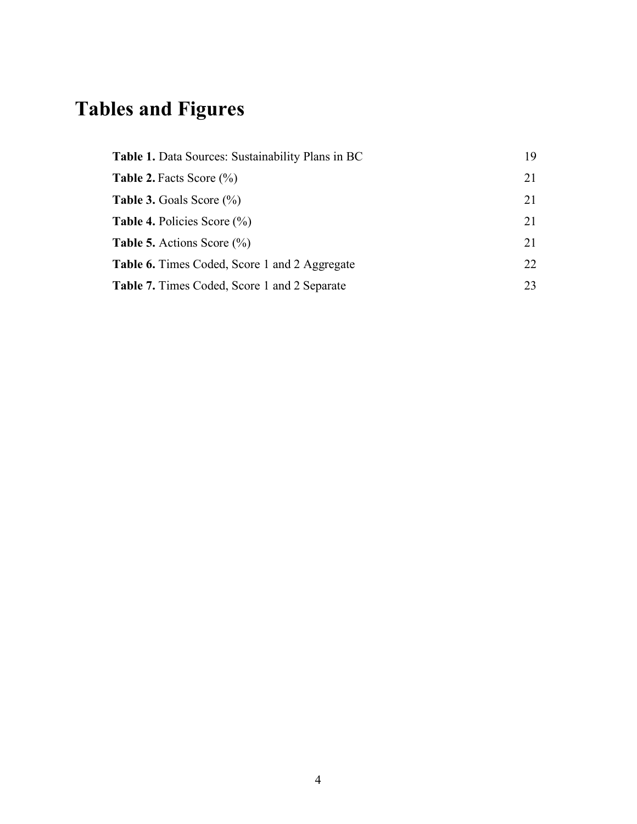# **Tables and Figures**

| <b>Table 1.</b> Data Sources: Sustainability Plans in BC | 19  |
|----------------------------------------------------------|-----|
| <b>Table 2.</b> Facts Score $\left(\frac{9}{0}\right)$   | 21  |
| <b>Table 3.</b> Goals Score $(\%)$                       | 21  |
| <b>Table 4.</b> Policies Score $(\%)$                    | 21  |
| <b>Table 5.</b> Actions Score $\left(\frac{0}{0}\right)$ | 21  |
| <b>Table 6.</b> Times Coded, Score 1 and 2 Aggregate     | 22. |
| <b>Table 7.</b> Times Coded, Score 1 and 2 Separate      | 23  |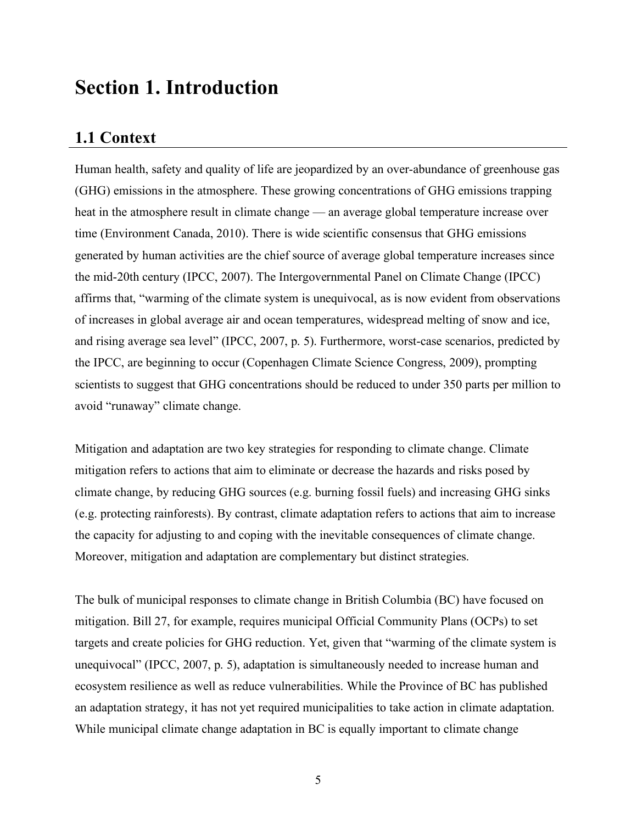# **Section 1. Introduction**

# **1.1 Context**

Human health, safety and quality of life are jeopardized by an over-abundance of greenhouse gas (GHG) emissions in the atmosphere. These growing concentrations of GHG emissions trapping heat in the atmosphere result in climate change — an average global temperature increase over time (Environment Canada, 2010). There is wide scientific consensus that GHG emissions generated by human activities are the chief source of average global temperature increases since the mid-20th century (IPCC, 2007). The Intergovernmental Panel on Climate Change (IPCC) affirms that, "warming of the climate system is unequivocal, as is now evident from observations of increases in global average air and ocean temperatures, widespread melting of snow and ice, and rising average sea level" (IPCC, 2007, p. 5). Furthermore, worst-case scenarios, predicted by the IPCC, are beginning to occur (Copenhagen Climate Science Congress, 2009), prompting scientists to suggest that GHG concentrations should be reduced to under 350 parts per million to avoid "runaway" climate change.

Mitigation and adaptation are two key strategies for responding to climate change. Climate mitigation refers to actions that aim to eliminate or decrease the hazards and risks posed by climate change, by reducing GHG sources (e.g. burning fossil fuels) and increasing GHG sinks (e.g. protecting rainforests). By contrast, climate adaptation refers to actions that aim to increase the capacity for adjusting to and coping with the inevitable consequences of climate change. Moreover, mitigation and adaptation are complementary but distinct strategies.

The bulk of municipal responses to climate change in British Columbia (BC) have focused on mitigation. Bill 27, for example, requires municipal Official Community Plans (OCPs) to set targets and create policies for GHG reduction. Yet, given that "warming of the climate system is unequivocal" (IPCC, 2007, p. 5), adaptation is simultaneously needed to increase human and ecosystem resilience as well as reduce vulnerabilities. While the Province of BC has published an adaptation strategy, it has not yet required municipalities to take action in climate adaptation. While municipal climate change adaptation in BC is equally important to climate change

5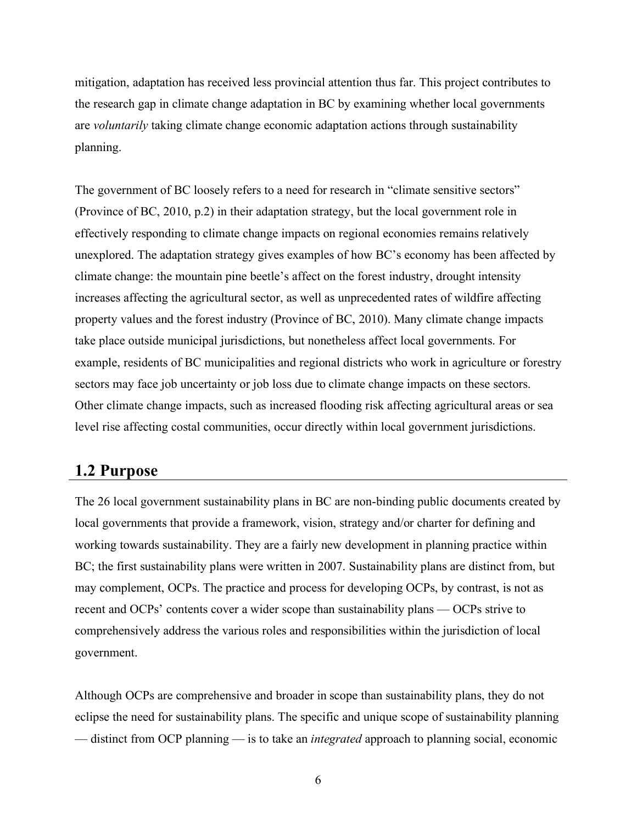mitigation, adaptation has received less provincial attention thus far. This project contributes to the research gap in climate change adaptation in BC by examining whether local governments are *voluntarily* taking climate change economic adaptation actions through sustainability planning.

The government of BC loosely refers to a need for research in "climate sensitive sectors" (Province of BC, 2010, p.2) in their adaptation strategy, but the local government role in effectively responding to climate change impacts on regional economies remains relatively unexplored. The adaptation strategy gives examples of how BC's economy has been affected by climate change: the mountain pine beetle's affect on the forest industry, drought intensity increases affecting the agricultural sector, as well as unprecedented rates of wildfire affecting property values and the forest industry (Province of BC, 2010). Many climate change impacts take place outside municipal jurisdictions, but nonetheless affect local governments. For example, residents of BC municipalities and regional districts who work in agriculture or forestry sectors may face job uncertainty or job loss due to climate change impacts on these sectors. Other climate change impacts, such as increased flooding risk affecting agricultural areas or sea level rise affecting costal communities, occur directly within local government jurisdictions.

# **1.2 Purpose**

The 26 local government sustainability plans in BC are non-binding public documents created by local governments that provide a framework, vision, strategy and/or charter for defining and working towards sustainability. They are a fairly new development in planning practice within BC; the first sustainability plans were written in 2007. Sustainability plans are distinct from, but may complement, OCPs. The practice and process for developing OCPs, by contrast, is not as recent and OCPs' contents cover a wider scope than sustainability plans — OCPs strive to comprehensively address the various roles and responsibilities within the jurisdiction of local government.

Although OCPs are comprehensive and broader in scope than sustainability plans, they do not eclipse the need for sustainability plans. The specific and unique scope of sustainability planning — distinct from OCP planning — is to take an *integrated* approach to planning social, economic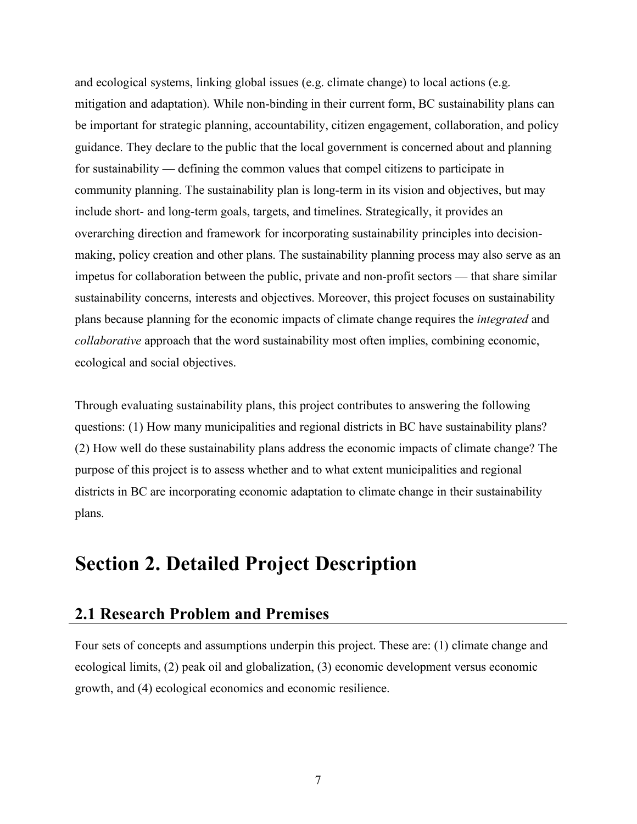and ecological systems, linking global issues (e.g. climate change) to local actions (e.g. mitigation and adaptation). While non-binding in their current form, BC sustainability plans can be important for strategic planning, accountability, citizen engagement, collaboration, and policy guidance. They declare to the public that the local government is concerned about and planning for sustainability — defining the common values that compel citizens to participate in community planning. The sustainability plan is long-term in its vision and objectives, but may include short- and long-term goals, targets, and timelines. Strategically, it provides an overarching direction and framework for incorporating sustainability principles into decisionmaking, policy creation and other plans. The sustainability planning process may also serve as an impetus for collaboration between the public, private and non-profit sectors — that share similar sustainability concerns, interests and objectives. Moreover, this project focuses on sustainability plans because planning for the economic impacts of climate change requires the *integrated* and *collaborative* approach that the word sustainability most often implies, combining economic, ecological and social objectives.

Through evaluating sustainability plans, this project contributes to answering the following questions: (1) How many municipalities and regional districts in BC have sustainability plans? (2) How well do these sustainability plans address the economic impacts of climate change? The purpose of this project is to assess whether and to what extent municipalities and regional districts in BC are incorporating economic adaptation to climate change in their sustainability plans.

# **Section 2. Detailed Project Description**

# **2.1 Research Problem and Premises**

Four sets of concepts and assumptions underpin this project. These are: (1) climate change and ecological limits, (2) peak oil and globalization, (3) economic development versus economic growth, and (4) ecological economics and economic resilience.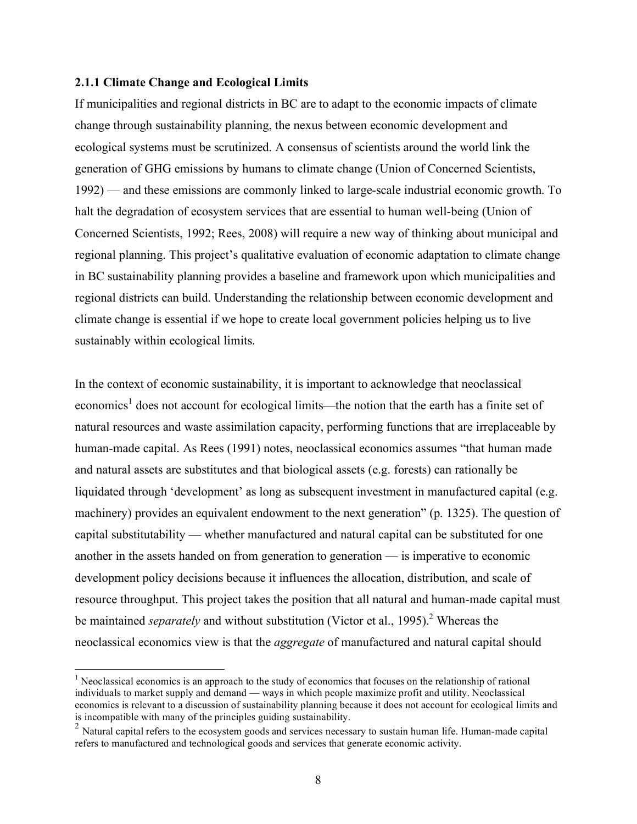#### **2.1.1 Climate Change and Ecological Limits**

If municipalities and regional districts in BC are to adapt to the economic impacts of climate change through sustainability planning, the nexus between economic development and ecological systems must be scrutinized. A consensus of scientists around the world link the generation of GHG emissions by humans to climate change (Union of Concerned Scientists, 1992) — and these emissions are commonly linked to large-scale industrial economic growth. To halt the degradation of ecosystem services that are essential to human well-being (Union of Concerned Scientists, 1992; Rees, 2008) will require a new way of thinking about municipal and regional planning. This project's qualitative evaluation of economic adaptation to climate change in BC sustainability planning provides a baseline and framework upon which municipalities and regional districts can build. Understanding the relationship between economic development and climate change is essential if we hope to create local government policies helping us to live sustainably within ecological limits.

In the context of economic sustainability, it is important to acknowledge that neoclassical economics<sup>1</sup> does not account for ecological limits—the notion that the earth has a finite set of natural resources and waste assimilation capacity, performing functions that are irreplaceable by human-made capital. As Rees (1991) notes, neoclassical economics assumes "that human made and natural assets are substitutes and that biological assets (e.g. forests) can rationally be liquidated through 'development' as long as subsequent investment in manufactured capital (e.g. machinery) provides an equivalent endowment to the next generation" (p. 1325). The question of capital substitutability — whether manufactured and natural capital can be substituted for one another in the assets handed on from generation to generation  $\frac{1}{\sqrt{2}}$  is imperative to economic development policy decisions because it influences the allocation, distribution, and scale of resource throughput. This project takes the position that all natural and human-made capital must be maintained *separately* and without substitution (Victor et al., 1995). <sup>2</sup> Whereas the neoclassical economics view is that the *aggregate* of manufactured and natural capital should

<sup>&</sup>lt;sup>1</sup> Neoclassical economics is an approach to the study of economics that focuses on the relationship of rational individuals to market supply and demand — ways in which people maximize profit and utility. Neoclassical economics is relevant to a discussion of sustainability planning because it does not account for ecological limits and is incompatible with many of the principles guiding sustainability.<br><sup>2</sup> Natural capital refers to the ecosystem goods and services necessary to sustain human life. Human-made capital

refers to manufactured and technological goods and services that generate economic activity.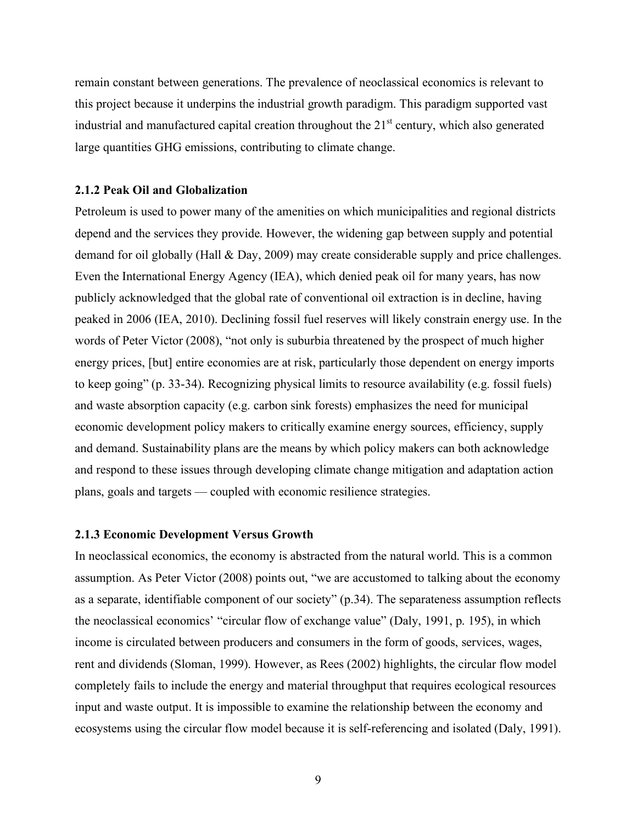remain constant between generations. The prevalence of neoclassical economics is relevant to this project because it underpins the industrial growth paradigm. This paradigm supported vast industrial and manufactured capital creation throughout the  $21<sup>st</sup>$  century, which also generated large quantities GHG emissions, contributing to climate change.

#### **2.1.2 Peak Oil and Globalization**

Petroleum is used to power many of the amenities on which municipalities and regional districts depend and the services they provide. However, the widening gap between supply and potential demand for oil globally (Hall & Day, 2009) may create considerable supply and price challenges. Even the International Energy Agency (IEA), which denied peak oil for many years, has now publicly acknowledged that the global rate of conventional oil extraction is in decline, having peaked in 2006 (IEA, 2010). Declining fossil fuel reserves will likely constrain energy use. In the words of Peter Victor (2008), "not only is suburbia threatened by the prospect of much higher energy prices, [but] entire economies are at risk, particularly those dependent on energy imports to keep going" (p. 33-34). Recognizing physical limits to resource availability (e.g. fossil fuels) and waste absorption capacity (e.g. carbon sink forests) emphasizes the need for municipal economic development policy makers to critically examine energy sources, efficiency, supply and demand. Sustainability plans are the means by which policy makers can both acknowledge and respond to these issues through developing climate change mitigation and adaptation action plans, goals and targets — coupled with economic resilience strategies.

#### **2.1.3 Economic Development Versus Growth**

In neoclassical economics, the economy is abstracted from the natural world. This is a common assumption. As Peter Victor (2008) points out, "we are accustomed to talking about the economy as a separate, identifiable component of our society" (p.34). The separateness assumption reflects the neoclassical economics' "circular flow of exchange value" (Daly, 1991, p. 195), in which income is circulated between producers and consumers in the form of goods, services, wages, rent and dividends (Sloman, 1999). However, as Rees (2002) highlights, the circular flow model completely fails to include the energy and material throughput that requires ecological resources input and waste output. It is impossible to examine the relationship between the economy and ecosystems using the circular flow model because it is self-referencing and isolated (Daly, 1991).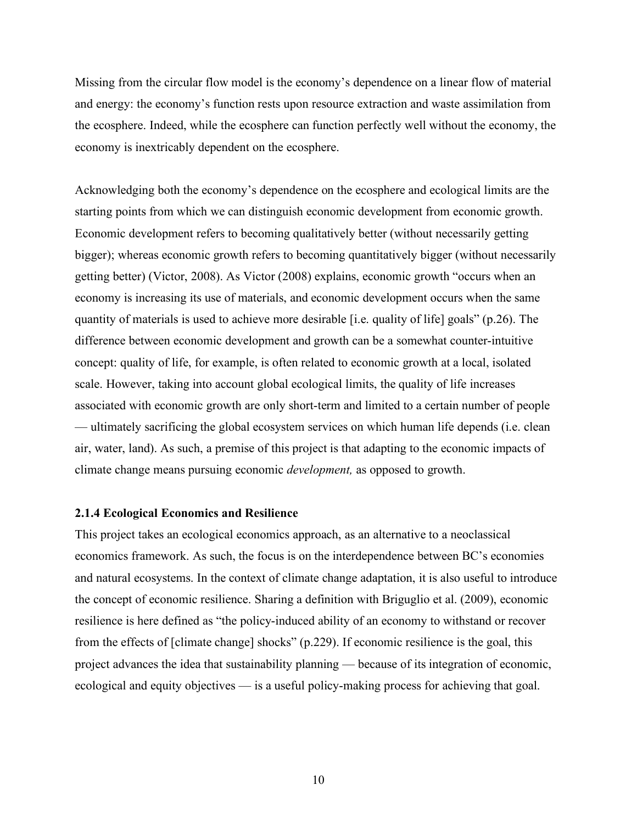Missing from the circular flow model is the economy's dependence on a linear flow of material and energy: the economy's function rests upon resource extraction and waste assimilation from the ecosphere. Indeed, while the ecosphere can function perfectly well without the economy, the economy is inextricably dependent on the ecosphere.

Acknowledging both the economy's dependence on the ecosphere and ecological limits are the starting points from which we can distinguish economic development from economic growth. Economic development refers to becoming qualitatively better (without necessarily getting bigger); whereas economic growth refers to becoming quantitatively bigger (without necessarily getting better) (Victor, 2008). As Victor (2008) explains, economic growth "occurs when an economy is increasing its use of materials, and economic development occurs when the same quantity of materials is used to achieve more desirable [i.e. quality of life] goals" (p.26). The difference between economic development and growth can be a somewhat counter-intuitive concept: quality of life, for example, is often related to economic growth at a local, isolated scale. However, taking into account global ecological limits, the quality of life increases associated with economic growth are only short-term and limited to a certain number of people — ultimately sacrificing the global ecosystem services on which human life depends (i.e. clean air, water, land). As such, a premise of this project is that adapting to the economic impacts of climate change means pursuing economic *development,* as opposed to growth.

#### **2.1.4 Ecological Economics and Resilience**

This project takes an ecological economics approach, as an alternative to a neoclassical economics framework. As such, the focus is on the interdependence between BC's economies and natural ecosystems. In the context of climate change adaptation, it is also useful to introduce the concept of economic resilience. Sharing a definition with Briguglio et al. (2009), economic resilience is here defined as "the policy-induced ability of an economy to withstand or recover from the effects of [climate change] shocks" (p.229). If economic resilience is the goal, this project advances the idea that sustainability planning — because of its integration of economic, ecological and equity objectives — is a useful policy-making process for achieving that goal.

10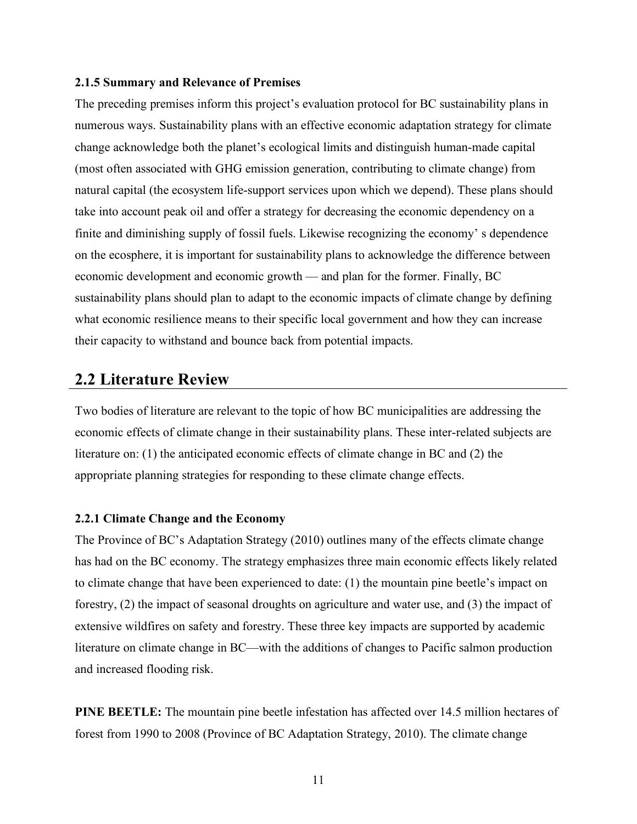#### **2.1.5 Summary and Relevance of Premises**

The preceding premises inform this project's evaluation protocol for BC sustainability plans in numerous ways. Sustainability plans with an effective economic adaptation strategy for climate change acknowledge both the planet's ecological limits and distinguish human-made capital (most often associated with GHG emission generation, contributing to climate change) from natural capital (the ecosystem life-support services upon which we depend). These plans should take into account peak oil and offer a strategy for decreasing the economic dependency on a finite and diminishing supply of fossil fuels. Likewise recognizing the economy' s dependence on the ecosphere, it is important for sustainability plans to acknowledge the difference between economic development and economic growth — and plan for the former. Finally, BC sustainability plans should plan to adapt to the economic impacts of climate change by defining what economic resilience means to their specific local government and how they can increase their capacity to withstand and bounce back from potential impacts.

# **2.2 Literature Review**

Two bodies of literature are relevant to the topic of how BC municipalities are addressing the economic effects of climate change in their sustainability plans. These inter-related subjects are literature on: (1) the anticipated economic effects of climate change in BC and (2) the appropriate planning strategies for responding to these climate change effects.

#### **2.2.1 Climate Change and the Economy**

The Province of BC's Adaptation Strategy (2010) outlines many of the effects climate change has had on the BC economy. The strategy emphasizes three main economic effects likely related to climate change that have been experienced to date: (1) the mountain pine beetle's impact on forestry, (2) the impact of seasonal droughts on agriculture and water use, and (3) the impact of extensive wildfires on safety and forestry. These three key impacts are supported by academic literature on climate change in BC—with the additions of changes to Pacific salmon production and increased flooding risk.

**PINE BEETLE:** The mountain pine beetle infestation has affected over 14.5 million hectares of forest from 1990 to 2008 (Province of BC Adaptation Strategy, 2010). The climate change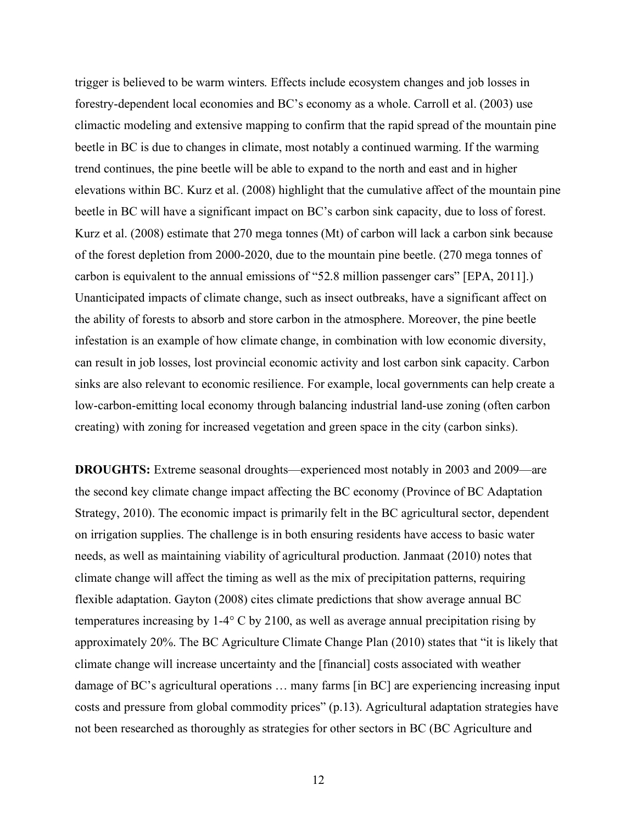trigger is believed to be warm winters. Effects include ecosystem changes and job losses in forestry-dependent local economies and BC's economy as a whole. Carroll et al. (2003) use climactic modeling and extensive mapping to confirm that the rapid spread of the mountain pine beetle in BC is due to changes in climate, most notably a continued warming. If the warming trend continues, the pine beetle will be able to expand to the north and east and in higher elevations within BC. Kurz et al. (2008) highlight that the cumulative affect of the mountain pine beetle in BC will have a significant impact on BC's carbon sink capacity, due to loss of forest. Kurz et al. (2008) estimate that 270 mega tonnes (Mt) of carbon will lack a carbon sink because of the forest depletion from 2000-2020, due to the mountain pine beetle. (270 mega tonnes of carbon is equivalent to the annual emissions of "52.8 million passenger cars" [EPA, 2011].) Unanticipated impacts of climate change, such as insect outbreaks, have a significant affect on the ability of forests to absorb and store carbon in the atmosphere. Moreover, the pine beetle infestation is an example of how climate change, in combination with low economic diversity, can result in job losses, lost provincial economic activity and lost carbon sink capacity. Carbon sinks are also relevant to economic resilience. For example, local governments can help create a low-carbon-emitting local economy through balancing industrial land-use zoning (often carbon creating) with zoning for increased vegetation and green space in the city (carbon sinks).

**DROUGHTS:** Extreme seasonal droughts—experienced most notably in 2003 and 2009—are the second key climate change impact affecting the BC economy (Province of BC Adaptation Strategy, 2010). The economic impact is primarily felt in the BC agricultural sector, dependent on irrigation supplies. The challenge is in both ensuring residents have access to basic water needs, as well as maintaining viability of agricultural production. Janmaat (2010) notes that climate change will affect the timing as well as the mix of precipitation patterns, requiring flexible adaptation. Gayton (2008) cites climate predictions that show average annual BC temperatures increasing by 1-4° C by 2100, as well as average annual precipitation rising by approximately 20%. The BC Agriculture Climate Change Plan (2010) states that "it is likely that climate change will increase uncertainty and the [financial] costs associated with weather damage of BC's agricultural operations … many farms [in BC] are experiencing increasing input costs and pressure from global commodity prices" (p.13). Agricultural adaptation strategies have not been researched as thoroughly as strategies for other sectors in BC (BC Agriculture and

12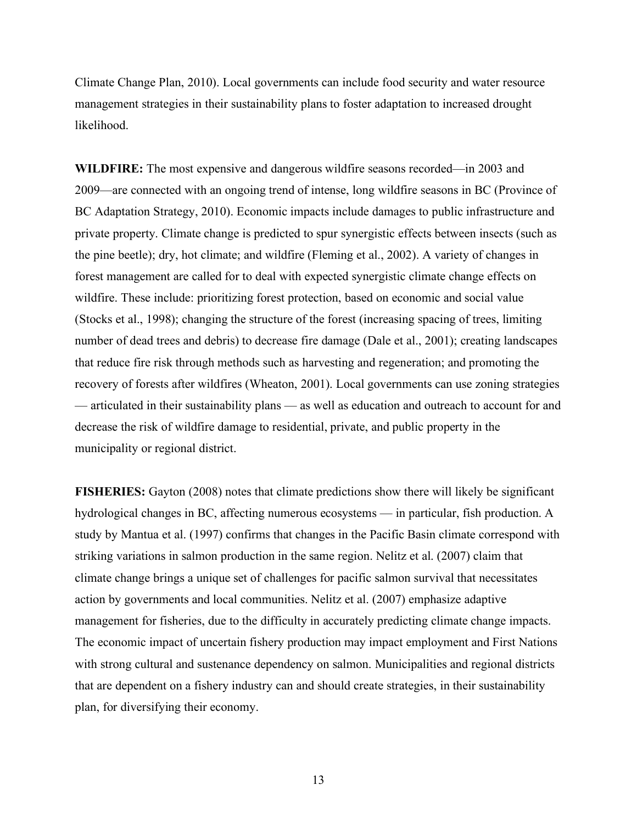Climate Change Plan, 2010). Local governments can include food security and water resource management strategies in their sustainability plans to foster adaptation to increased drought likelihood.

**WILDFIRE:** The most expensive and dangerous wildfire seasons recorded—in 2003 and 2009—are connected with an ongoing trend of intense, long wildfire seasons in BC (Province of BC Adaptation Strategy, 2010). Economic impacts include damages to public infrastructure and private property. Climate change is predicted to spur synergistic effects between insects (such as the pine beetle); dry, hot climate; and wildfire (Fleming et al., 2002). A variety of changes in forest management are called for to deal with expected synergistic climate change effects on wildfire. These include: prioritizing forest protection, based on economic and social value (Stocks et al., 1998); changing the structure of the forest (increasing spacing of trees, limiting number of dead trees and debris) to decrease fire damage (Dale et al., 2001); creating landscapes that reduce fire risk through methods such as harvesting and regeneration; and promoting the recovery of forests after wildfires (Wheaton, 2001). Local governments can use zoning strategies — articulated in their sustainability plans — as well as education and outreach to account for and decrease the risk of wildfire damage to residential, private, and public property in the municipality or regional district.

**FISHERIES:** Gayton (2008) notes that climate predictions show there will likely be significant hydrological changes in BC, affecting numerous ecosystems — in particular, fish production. A study by Mantua et al. (1997) confirms that changes in the Pacific Basin climate correspond with striking variations in salmon production in the same region. Nelitz et al. (2007) claim that climate change brings a unique set of challenges for pacific salmon survival that necessitates action by governments and local communities. Nelitz et al. (2007) emphasize adaptive management for fisheries, due to the difficulty in accurately predicting climate change impacts. The economic impact of uncertain fishery production may impact employment and First Nations with strong cultural and sustenance dependency on salmon. Municipalities and regional districts that are dependent on a fishery industry can and should create strategies, in their sustainability plan, for diversifying their economy.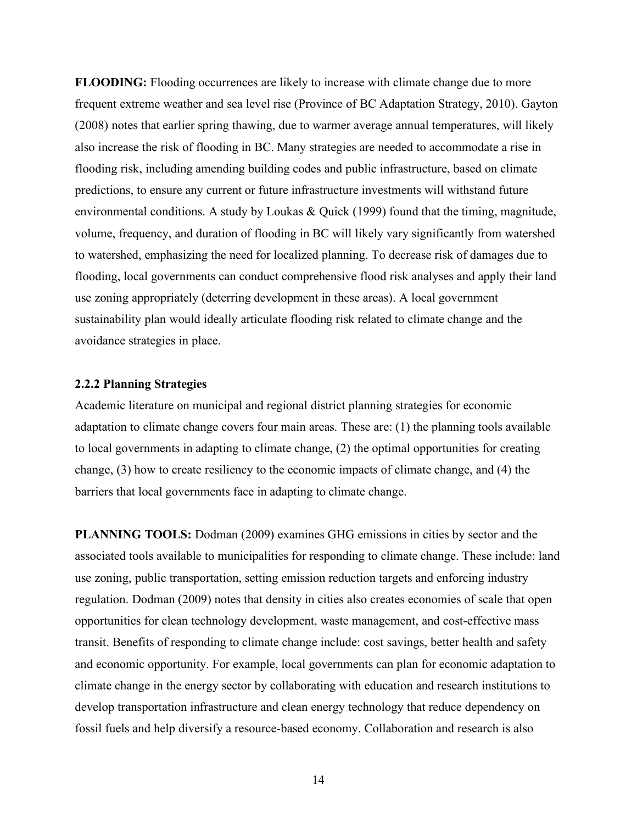**FLOODING:** Flooding occurrences are likely to increase with climate change due to more frequent extreme weather and sea level rise (Province of BC Adaptation Strategy, 2010). Gayton (2008) notes that earlier spring thawing, due to warmer average annual temperatures, will likely also increase the risk of flooding in BC. Many strategies are needed to accommodate a rise in flooding risk, including amending building codes and public infrastructure, based on climate predictions, to ensure any current or future infrastructure investments will withstand future environmental conditions. A study by Loukas & Quick (1999) found that the timing, magnitude, volume, frequency, and duration of flooding in BC will likely vary significantly from watershed to watershed, emphasizing the need for localized planning. To decrease risk of damages due to flooding, local governments can conduct comprehensive flood risk analyses and apply their land use zoning appropriately (deterring development in these areas). A local government sustainability plan would ideally articulate flooding risk related to climate change and the avoidance strategies in place.

#### **2.2.2 Planning Strategies**

Academic literature on municipal and regional district planning strategies for economic adaptation to climate change covers four main areas. These are: (1) the planning tools available to local governments in adapting to climate change, (2) the optimal opportunities for creating change, (3) how to create resiliency to the economic impacts of climate change, and (4) the barriers that local governments face in adapting to climate change.

**PLANNING TOOLS:** Dodman (2009) examines GHG emissions in cities by sector and the associated tools available to municipalities for responding to climate change. These include: land use zoning, public transportation, setting emission reduction targets and enforcing industry regulation. Dodman (2009) notes that density in cities also creates economies of scale that open opportunities for clean technology development, waste management, and cost-effective mass transit. Benefits of responding to climate change include: cost savings, better health and safety and economic opportunity. For example, local governments can plan for economic adaptation to climate change in the energy sector by collaborating with education and research institutions to develop transportation infrastructure and clean energy technology that reduce dependency on fossil fuels and help diversify a resource-based economy. Collaboration and research is also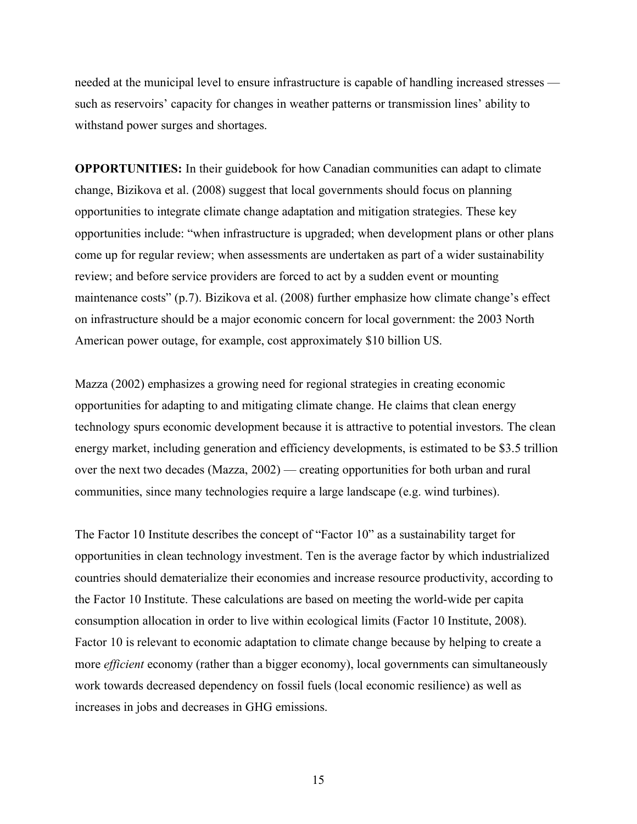needed at the municipal level to ensure infrastructure is capable of handling increased stresses such as reservoirs' capacity for changes in weather patterns or transmission lines' ability to withstand power surges and shortages.

**OPPORTUNITIES:** In their guidebook for how Canadian communities can adapt to climate change, Bizikova et al. (2008) suggest that local governments should focus on planning opportunities to integrate climate change adaptation and mitigation strategies. These key opportunities include: "when infrastructure is upgraded; when development plans or other plans come up for regular review; when assessments are undertaken as part of a wider sustainability review; and before service providers are forced to act by a sudden event or mounting maintenance costs" (p.7). Bizikova et al. (2008) further emphasize how climate change's effect on infrastructure should be a major economic concern for local government: the 2003 North American power outage, for example, cost approximately \$10 billion US.

Mazza (2002) emphasizes a growing need for regional strategies in creating economic opportunities for adapting to and mitigating climate change. He claims that clean energy technology spurs economic development because it is attractive to potential investors. The clean energy market, including generation and efficiency developments, is estimated to be \$3.5 trillion over the next two decades (Mazza, 2002) — creating opportunities for both urban and rural communities, since many technologies require a large landscape (e.g. wind turbines).

The Factor 10 Institute describes the concept of "Factor 10" as a sustainability target for opportunities in clean technology investment. Ten is the average factor by which industrialized countries should dematerialize their economies and increase resource productivity, according to the Factor 10 Institute. These calculations are based on meeting the world-wide per capita consumption allocation in order to live within ecological limits (Factor 10 Institute, 2008). Factor 10 is relevant to economic adaptation to climate change because by helping to create a more *efficient* economy (rather than a bigger economy), local governments can simultaneously work towards decreased dependency on fossil fuels (local economic resilience) as well as increases in jobs and decreases in GHG emissions.

15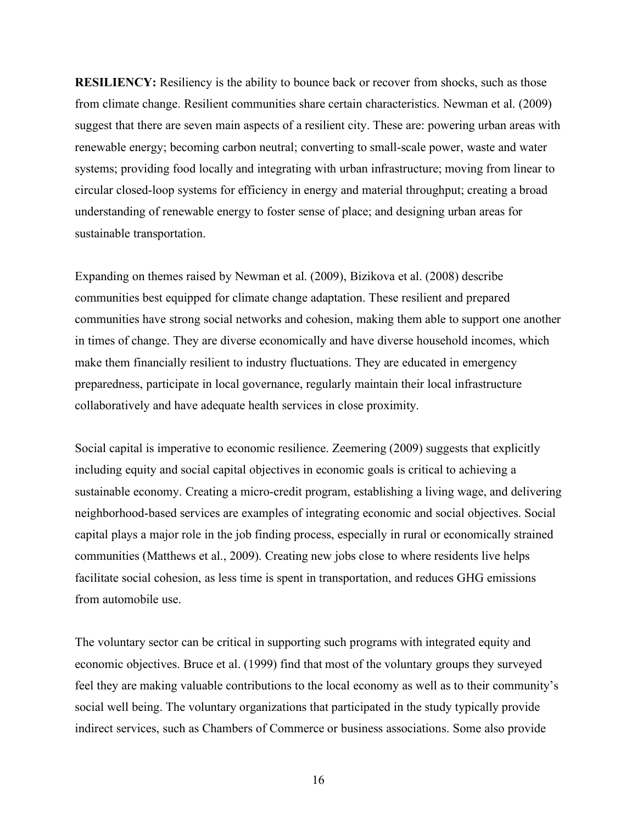**RESILIENCY:** Resiliency is the ability to bounce back or recover from shocks, such as those from climate change. Resilient communities share certain characteristics. Newman et al. (2009) suggest that there are seven main aspects of a resilient city. These are: powering urban areas with renewable energy; becoming carbon neutral; converting to small-scale power, waste and water systems; providing food locally and integrating with urban infrastructure; moving from linear to circular closed-loop systems for efficiency in energy and material throughput; creating a broad understanding of renewable energy to foster sense of place; and designing urban areas for sustainable transportation.

Expanding on themes raised by Newman et al. (2009), Bizikova et al. (2008) describe communities best equipped for climate change adaptation. These resilient and prepared communities have strong social networks and cohesion, making them able to support one another in times of change. They are diverse economically and have diverse household incomes, which make them financially resilient to industry fluctuations. They are educated in emergency preparedness, participate in local governance, regularly maintain their local infrastructure collaboratively and have adequate health services in close proximity.

Social capital is imperative to economic resilience. Zeemering (2009) suggests that explicitly including equity and social capital objectives in economic goals is critical to achieving a sustainable economy. Creating a micro-credit program, establishing a living wage, and delivering neighborhood-based services are examples of integrating economic and social objectives. Social capital plays a major role in the job finding process, especially in rural or economically strained communities (Matthews et al., 2009). Creating new jobs close to where residents live helps facilitate social cohesion, as less time is spent in transportation, and reduces GHG emissions from automobile use.

The voluntary sector can be critical in supporting such programs with integrated equity and economic objectives. Bruce et al. (1999) find that most of the voluntary groups they surveyed feel they are making valuable contributions to the local economy as well as to their community's social well being. The voluntary organizations that participated in the study typically provide indirect services, such as Chambers of Commerce or business associations. Some also provide

16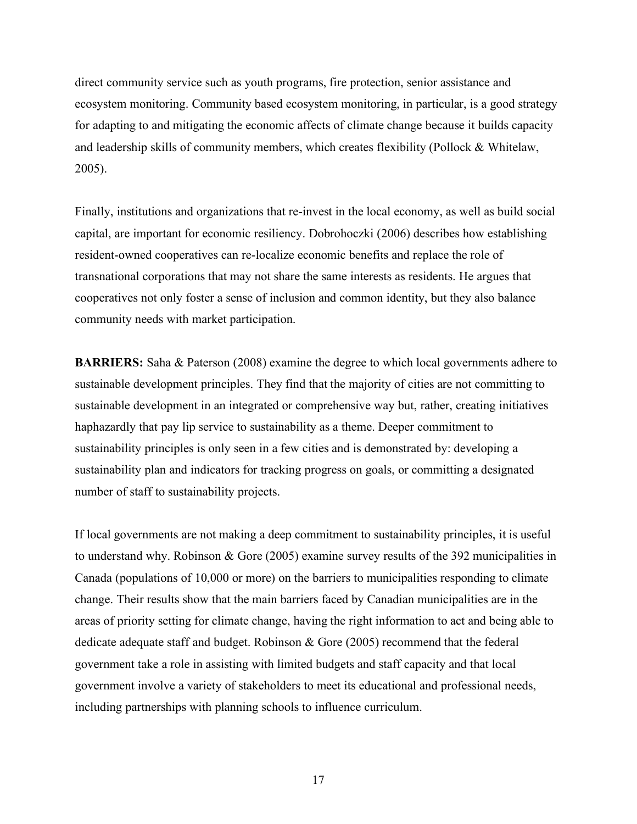direct community service such as youth programs, fire protection, senior assistance and ecosystem monitoring. Community based ecosystem monitoring, in particular, is a good strategy for adapting to and mitigating the economic affects of climate change because it builds capacity and leadership skills of community members, which creates flexibility (Pollock & Whitelaw, 2005).

Finally, institutions and organizations that re-invest in the local economy, as well as build social capital, are important for economic resiliency. Dobrohoczki (2006) describes how establishing resident-owned cooperatives can re-localize economic benefits and replace the role of transnational corporations that may not share the same interests as residents. He argues that cooperatives not only foster a sense of inclusion and common identity, but they also balance community needs with market participation.

**BARRIERS:** Saha & Paterson (2008) examine the degree to which local governments adhere to sustainable development principles. They find that the majority of cities are not committing to sustainable development in an integrated or comprehensive way but, rather, creating initiatives haphazardly that pay lip service to sustainability as a theme. Deeper commitment to sustainability principles is only seen in a few cities and is demonstrated by: developing a sustainability plan and indicators for tracking progress on goals, or committing a designated number of staff to sustainability projects.

If local governments are not making a deep commitment to sustainability principles, it is useful to understand why. Robinson & Gore (2005) examine survey results of the 392 municipalities in Canada (populations of 10,000 or more) on the barriers to municipalities responding to climate change. Their results show that the main barriers faced by Canadian municipalities are in the areas of priority setting for climate change, having the right information to act and being able to dedicate adequate staff and budget. Robinson & Gore (2005) recommend that the federal government take a role in assisting with limited budgets and staff capacity and that local government involve a variety of stakeholders to meet its educational and professional needs, including partnerships with planning schools to influence curriculum.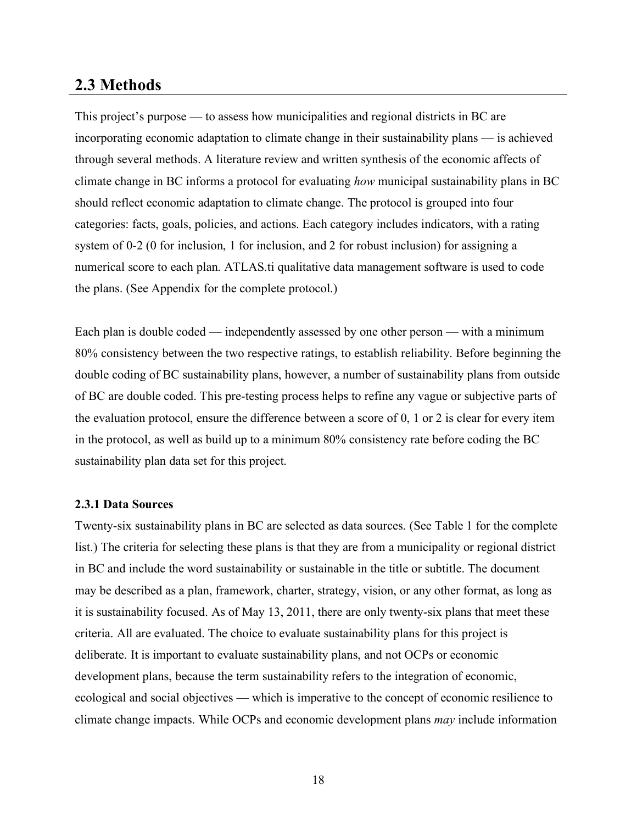# **2.3 Methods**

This project's purpose — to assess how municipalities and regional districts in BC are incorporating economic adaptation to climate change in their sustainability plans — is achieved through several methods. A literature review and written synthesis of the economic affects of climate change in BC informs a protocol for evaluating *how* municipal sustainability plans in BC should reflect economic adaptation to climate change. The protocol is grouped into four categories: facts, goals, policies, and actions. Each category includes indicators, with a rating system of 0-2 (0 for inclusion, 1 for inclusion, and 2 for robust inclusion) for assigning a numerical score to each plan. ATLAS.ti qualitative data management software is used to code the plans. (See Appendix for the complete protocol.)

Each plan is double coded — independently assessed by one other person — with a minimum 80% consistency between the two respective ratings, to establish reliability. Before beginning the double coding of BC sustainability plans, however, a number of sustainability plans from outside of BC are double coded. This pre-testing process helps to refine any vague or subjective parts of the evaluation protocol, ensure the difference between a score of 0, 1 or 2 is clear for every item in the protocol, as well as build up to a minimum 80% consistency rate before coding the BC sustainability plan data set for this project.

#### **2.3.1 Data Sources**

Twenty-six sustainability plans in BC are selected as data sources. (See Table 1 for the complete list.) The criteria for selecting these plans is that they are from a municipality or regional district in BC and include the word sustainability or sustainable in the title or subtitle. The document may be described as a plan, framework, charter, strategy, vision, or any other format, as long as it is sustainability focused. As of May 13, 2011, there are only twenty-six plans that meet these criteria. All are evaluated. The choice to evaluate sustainability plans for this project is deliberate. It is important to evaluate sustainability plans, and not OCPs or economic development plans, because the term sustainability refers to the integration of economic, ecological and social objectives — which is imperative to the concept of economic resilience to climate change impacts. While OCPs and economic development plans *may* include information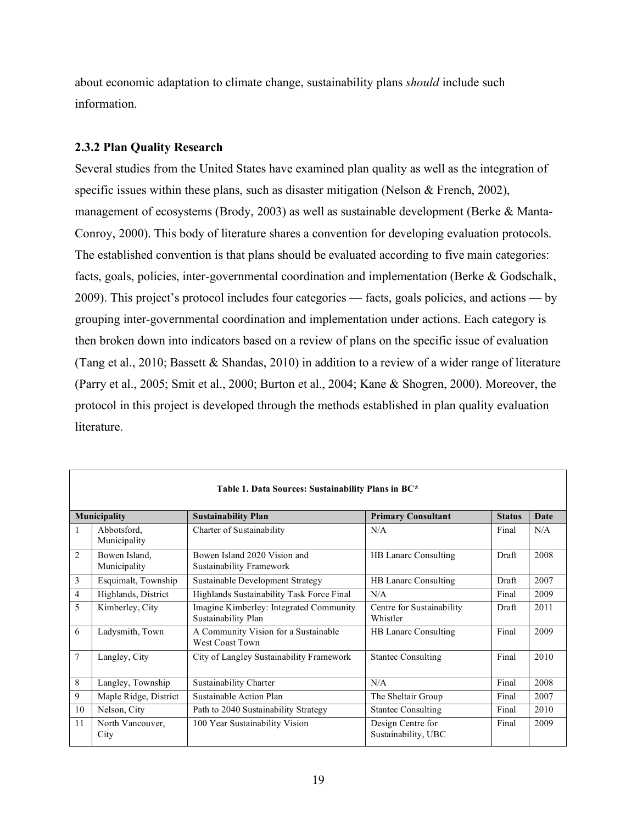about economic adaptation to climate change, sustainability plans *should* include such information.

#### **2.3.2 Plan Quality Research**

Several studies from the United States have examined plan quality as well as the integration of specific issues within these plans, such as disaster mitigation (Nelson & French, 2002), management of ecosystems (Brody, 2003) as well as sustainable development (Berke & Manta-Conroy, 2000). This body of literature shares a convention for developing evaluation protocols. The established convention is that plans should be evaluated according to five main categories: facts, goals, policies, inter-governmental coordination and implementation (Berke & Godschalk, 2009). This project's protocol includes four categories — facts, goals policies, and actions — by grouping inter-governmental coordination and implementation under actions. Each category is then broken down into indicators based on a review of plans on the specific issue of evaluation (Tang et al., 2010; Bassett & Shandas, 2010) in addition to a review of a wider range of literature (Parry et al., 2005; Smit et al., 2000; Burton et al., 2004; Kane & Shogren, 2000). Moreover, the protocol in this project is developed through the methods established in plan quality evaluation literature.

| Table 1. Data Sources: Sustainability Plans in BC* |                                                                                                  |                                                                |                                          |       |      |  |  |  |  |
|----------------------------------------------------|--------------------------------------------------------------------------------------------------|----------------------------------------------------------------|------------------------------------------|-------|------|--|--|--|--|
|                                                    | Municipality<br><b>Primary Consultant</b><br><b>Sustainability Plan</b><br><b>Status</b><br>Date |                                                                |                                          |       |      |  |  |  |  |
| 1                                                  | Abbotsford,<br>Municipality                                                                      | Charter of Sustainability                                      | N/A                                      | Final | N/A  |  |  |  |  |
| $\overline{2}$                                     | Bowen Island,<br>Municipality                                                                    | Bowen Island 2020 Vision and<br>Sustainability Framework       | <b>HB Lanarc Consulting</b>              | Draft | 2008 |  |  |  |  |
| 3                                                  | Esquimalt, Township                                                                              | Sustainable Development Strategy                               | <b>HB Lanarc Consulting</b>              | Draft | 2007 |  |  |  |  |
| 4                                                  | Highlands, District                                                                              | Highlands Sustainability Task Force Final                      | N/A                                      | Final | 2009 |  |  |  |  |
| 5                                                  | Kimberley, City                                                                                  | Imagine Kimberley: Integrated Community<br>Sustainability Plan | Centre for Sustainability<br>Whistler    | Draft | 2011 |  |  |  |  |
| 6                                                  | Ladysmith, Town                                                                                  | A Community Vision for a Sustainable<br>West Coast Town        | HB Lanarc Consulting                     | Final | 2009 |  |  |  |  |
| 7                                                  | Langley, City                                                                                    | City of Langley Sustainability Framework                       | <b>Stantec Consulting</b>                | Final | 2010 |  |  |  |  |
| 8                                                  | Langley, Township                                                                                | Sustainability Charter                                         | N/A                                      | Final | 2008 |  |  |  |  |
| 9                                                  | Maple Ridge, District                                                                            | Sustainable Action Plan                                        | The Sheltair Group                       | Final | 2007 |  |  |  |  |
| 10                                                 | Nelson, City                                                                                     | Path to 2040 Sustainability Strategy                           | <b>Stantec Consulting</b>                | Final | 2010 |  |  |  |  |
| 11                                                 | North Vancouver,<br>City                                                                         | 100 Year Sustainability Vision                                 | Design Centre for<br>Sustainability, UBC | Final | 2009 |  |  |  |  |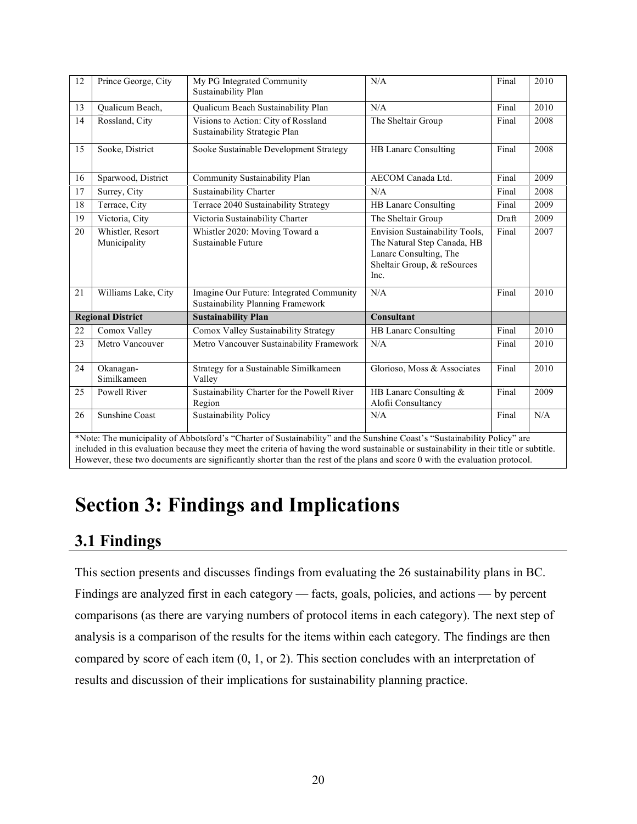| 12 | Prince George, City              | My PG Integrated Community<br>N/A<br>Sustainability Plan                                                                                                                                                                                                            |                                                                                                                                | Final | 2010 |
|----|----------------------------------|---------------------------------------------------------------------------------------------------------------------------------------------------------------------------------------------------------------------------------------------------------------------|--------------------------------------------------------------------------------------------------------------------------------|-------|------|
| 13 | Qualicum Beach,                  | Qualicum Beach Sustainability Plan                                                                                                                                                                                                                                  | N/A                                                                                                                            | Final | 2010 |
| 14 | Rossland, City                   | Visions to Action: City of Rossland<br>Sustainability Strategic Plan                                                                                                                                                                                                | The Sheltair Group                                                                                                             | Final | 2008 |
| 15 | Sooke, District                  | Sooke Sustainable Development Strategy                                                                                                                                                                                                                              | HB Lanarc Consulting                                                                                                           | Final | 2008 |
| 16 | Sparwood, District               | Community Sustainability Plan                                                                                                                                                                                                                                       | <b>AECOM</b> Canada Ltd.                                                                                                       | Final | 2009 |
| 17 | Surrey, City                     | Sustainability Charter                                                                                                                                                                                                                                              | N/A                                                                                                                            | Final | 2008 |
| 18 | Terrace, City                    | Terrace 2040 Sustainability Strategy                                                                                                                                                                                                                                | <b>HB Lanarc Consulting</b>                                                                                                    | Final | 2009 |
| 19 | Victoria, City                   | Victoria Sustainability Charter                                                                                                                                                                                                                                     | The Sheltair Group                                                                                                             | Draft | 2009 |
| 20 | Whistler, Resort<br>Municipality | Whistler 2020: Moving Toward a<br>Sustainable Future                                                                                                                                                                                                                | Envision Sustainability Tools,<br>The Natural Step Canada, HB<br>Lanarc Consulting, The<br>Sheltair Group, & reSources<br>Inc. | Final | 2007 |
| 21 | Williams Lake, City              | Imagine Our Future: Integrated Community<br>Sustainability Planning Framework                                                                                                                                                                                       | N/A                                                                                                                            | Final | 2010 |
|    | <b>Regional District</b>         | <b>Sustainability Plan</b>                                                                                                                                                                                                                                          | Consultant                                                                                                                     |       |      |
| 22 | Comox Valley                     | Comox Valley Sustainability Strategy                                                                                                                                                                                                                                | <b>HB Lanarc Consulting</b>                                                                                                    | Final | 2010 |
| 23 | Metro Vancouver                  | Metro Vancouver Sustainability Framework                                                                                                                                                                                                                            | N/A                                                                                                                            | Final | 2010 |
| 24 | Okanagan-<br>Similkameen         | Strategy for a Sustainable Similkameen<br>Valley                                                                                                                                                                                                                    | Glorioso, Moss & Associates                                                                                                    | Final | 2010 |
| 25 | Powell River                     | Sustainability Charter for the Powell River<br>Region                                                                                                                                                                                                               | HB Lanarc Consulting &<br>Alofii Consultancy                                                                                   | Final | 2009 |
| 26 | <b>Sunshine Coast</b>            | <b>Sustainability Policy</b>                                                                                                                                                                                                                                        | N/A                                                                                                                            | Final | N/A  |
|    |                                  | *Note: The municipality of Abbotsford's "Charter of Sustainability" and the Sunshine Coast's "Sustainability Policy" are<br>included in this evaluation because they meet the criteria of having the word sustainable or sustainability in their title or subtitle. |                                                                                                                                |       |      |

# **Section 3: Findings and Implications**

# **3.1 Findings**

This section presents and discusses findings from evaluating the 26 sustainability plans in BC. Findings are analyzed first in each category — facts, goals, policies, and actions — by percent comparisons (as there are varying numbers of protocol items in each category). The next step of analysis is a comparison of the results for the items within each category. The findings are then compared by score of each item (0, 1, or 2). This section concludes with an interpretation of results and discussion of their implications for sustainability planning practice.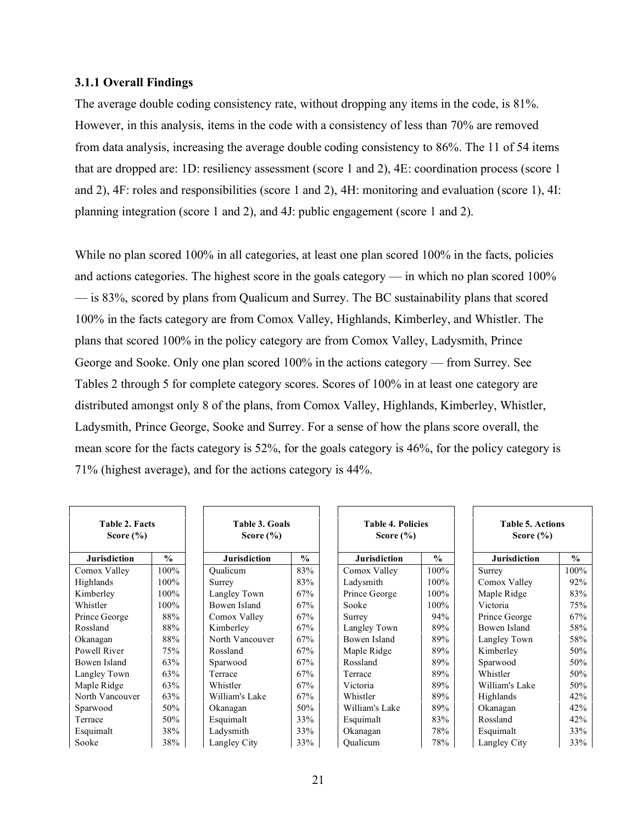#### **3.1.1 Overall Findings**

The average double coding consistency rate, without dropping any items in the code, is 81%. However, in this analysis, items in the code with a consistency of less than 70% are removed from data analysis, increasing the average double coding consistency to 86%. The 11 of 54 items that are dropped are: 1D: resiliency assessment (score 1 and 2), 4E: coordination process (score 1 and 2), 4F: roles and responsibilities (score 1 and 2), 4H: monitoring and evaluation (score 1), 4I: planning integration (score 1 and 2), and 4J: public engagement (score 1 and 2).

While no plan scored 100% in all categories, at least one plan scored 100% in the facts, policies and actions categories. The highest score in the goals category — in which no plan scored 100% — is 83%, scored by plans from Qualicum and Surrey. The BC sustainability plans that scored 100% in the facts category are from Comox Valley, Highlands, Kimberley, and Whistler. The plans that scored 100% in the policy category are from Comox Valley, Ladysmith, Prince George and Sooke. Only one plan scored 100% in the actions category — from Surrey. See Tables 2 through 5 for complete category scores. Scores of 100% in at least one category are distributed amongst only 8 of the plans, from Comox Valley, Highlands, Kimberley, Whistler, Ladysmith, Prince George, Sooke and Surrey. For a sense of how the plans score overall, the mean score for the facts category is 52%, for the goals category is 46%, for the policy category is 71% (highest average), and for the actions category is 44%.

| <b>Table 2. Facts</b><br>Score $(\% )$ |               | Table 3. Goals<br>Score $(\% )$ |               | <b>Table 4. Policies</b><br>Score $(\% )$ |               | <b>Table 5. Actions</b><br>Score $(\% )$ |               |
|----------------------------------------|---------------|---------------------------------|---------------|-------------------------------------------|---------------|------------------------------------------|---------------|
| <b>Jurisdiction</b>                    | $\frac{0}{0}$ | <b>Jurisdiction</b>             | $\frac{0}{0}$ | <b>Jurisdiction</b>                       | $\frac{0}{0}$ | <b>Jurisdiction</b>                      | $\frac{0}{0}$ |
| Comox Valley                           | 100%          | Oualicum                        | 83%           | Comox Valley                              | 100%          | Surrey                                   | 100%          |
| Highlands                              | 100%          | Surrey                          | 83%           | Ladysmith                                 | $100\%$       | Comox Valley                             | 92%           |
| Kimberley                              | 100%          | Langley Town                    | 67%           | Prince George                             | 100%          | Maple Ridge                              | 83%           |
| Whistler                               | 100%          | Bowen Island                    | 67%           | Sooke                                     | 100%          | Victoria                                 | 75%           |
| Prince George                          | 88%           | Comox Valley                    | 67%           | Surrey                                    | 94%           | Prince George                            | 67%           |
| Rossland                               | 88%           | Kimberley                       | 67%           | Langley Town                              | 89%           | Bowen Island                             | 58%           |
| Okanagan                               | 88%           | North Vancouver                 | 67%           | Bowen Island                              | 89%           | Langley Town                             | 58%           |
| Powell River                           | 75%           | Rossland                        | 67%           | Maple Ridge                               | 89%           | Kimberley                                | 50%           |
| Bowen Island                           | 63%           | Sparwood                        | 67%           | Rossland                                  | 89%           | Sparwood                                 | 50%           |
| Langley Town                           | 63%           | Terrace                         | 67%           | Terrace                                   | 89%           | Whistler                                 | 50%           |
| Maple Ridge                            | 63%           | Whistler                        | 67%           | Victoria                                  | 89%           | William's Lake                           | 50%           |
| North Vancouver                        | 63%           | William's Lake                  | 67%           | Whistler                                  | 89%           | Highlands                                | 42%           |
| Sparwood                               | 50%           | Okanagan                        | 50%           | William's Lake                            | 89%           | Okanagan                                 | 42%           |
| Terrace                                | 50%           | Esquimalt                       | 33%           | Esquimalt                                 | 83%           | Rossland                                 | 42%           |
| Esquimalt                              | 38%           | Ladysmith                       | 33%           | Okanagan                                  | 78%           | Esquimalt                                | 33%           |
| Sooke                                  | 38%           | Langley City                    | 33%           | Oualicum                                  | 78%           | Langley City                             | 33%           |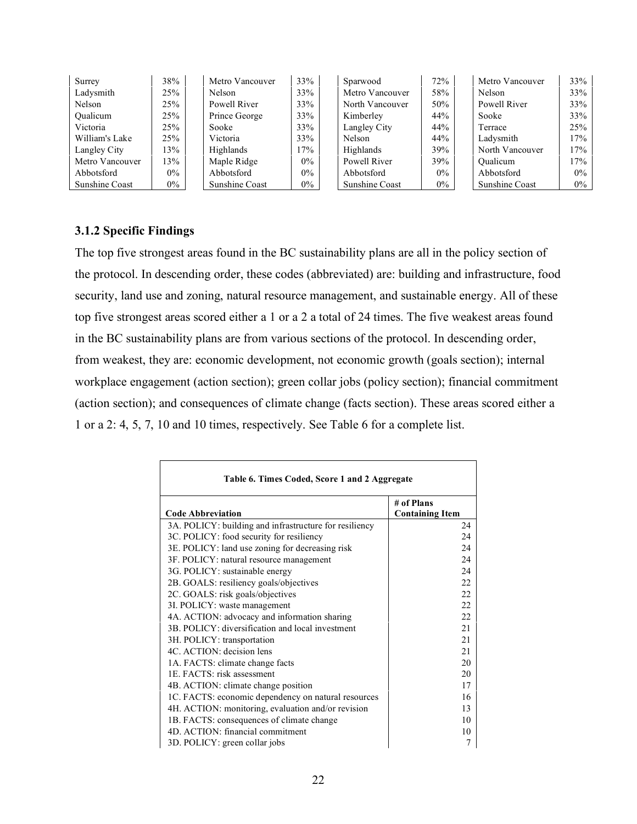| Surrey          | 38%   | Metro Vancouver | 33%   | Sparwood        | 72%   | Metro Vancouver | 33%   |
|-----------------|-------|-----------------|-------|-----------------|-------|-----------------|-------|
| Ladysmith       | 25%   | Nelson          | 33%   | Metro Vancouver | 58%   | Nelson          | 33%   |
| Nelson          | 25%   | Powell River    | 33%   | North Vancouver | 50%   | Powell River    | 33%   |
| Oualicum        | 25%   | Prince George   | 33%   | Kimberley       | 44%   | Sooke           | 33%   |
| Victoria        | 25%   | Sooke           | 33%   | Langley City    | 44%   | Terrace         | 25%   |
| William's Lake  | 25%   | Victoria        | 33%   | Nelson          | 44%   | Ladysmith       | 17%   |
| Langley City    | 13%   | Highlands       | 17%   | Highlands       | 39%   | North Vancouver | 17%   |
| Metro Vancouver | 13%   | Maple Ridge     | $0\%$ | Powell River    | 39%   | Oualicum        | 17%   |
| Abbotsford      | $0\%$ | Abbotsford      | $0\%$ | Abbotsford      | $0\%$ | Abbotsford      | $0\%$ |
| Sunshine Coast  | $0\%$ | Sunshine Coast  | $0\%$ | Sunshine Coast  | $0\%$ | Sunshine Coast  | $0\%$ |

### **3.1.2 Specific Findings**

The top five strongest areas found in the BC sustainability plans are all in the policy section of the protocol. In descending order, these codes (abbreviated) are: building and infrastructure, food security, land use and zoning, natural resource management, and sustainable energy. All of these top five strongest areas scored either a 1 or a 2 a total of 24 times. The five weakest areas found in the BC sustainability plans are from various sections of the protocol. In descending order, from weakest, they are: economic development, not economic growth (goals section); internal workplace engagement (action section); green collar jobs (policy section); financial commitment (action section); and consequences of climate change (facts section). These areas scored either a 1 or a 2: 4, 5, 7, 10 and 10 times, respectively. See Table 6 for a complete list.

| Table 6. Times Coded, Score 1 and 2 Aggregate          |                                      |  |  |  |
|--------------------------------------------------------|--------------------------------------|--|--|--|
| <b>Code Abbreviation</b>                               | # of Plans<br><b>Containing Item</b> |  |  |  |
| 3A. POLICY: building and infrastructure for resiliency | 24                                   |  |  |  |
| 3C. POLICY: food security for resiliency               | 24                                   |  |  |  |
| 3E. POLICY: land use zoning for decreasing risk        | 24                                   |  |  |  |
| 3F. POLICY: natural resource management                | 24                                   |  |  |  |
| 3G. POLICY: sustainable energy                         | 24                                   |  |  |  |
| 2B. GOALS: resiliency goals/objectives                 | 22                                   |  |  |  |
| 2C. GOALS: risk goals/objectives                       | 22                                   |  |  |  |
| 3I. POLICY: waste management                           | 22                                   |  |  |  |
| 4A. ACTION: advocacy and information sharing           | 22                                   |  |  |  |
| 3B. POLICY: diversification and local investment       | 2.1                                  |  |  |  |
| 3H. POLICY: transportation                             | 2.1                                  |  |  |  |
| 4C. ACTION: decision lens                              | 2.1                                  |  |  |  |
| 1A. FACTS: climate change facts                        | 20                                   |  |  |  |
| 1E. FACTS: risk assessment                             | 20                                   |  |  |  |
| 4B. ACTION: climate change position                    | 17                                   |  |  |  |
| 1C. FACTS: economic dependency on natural resources    | 16                                   |  |  |  |
| 4H. ACTION: monitoring, evaluation and/or revision     | 13                                   |  |  |  |
| 1B. FACTS: consequences of climate change              | 10                                   |  |  |  |
| 4D. ACTION: financial commitment                       | 10                                   |  |  |  |
| 3D. POLICY: green collar jobs                          | 7                                    |  |  |  |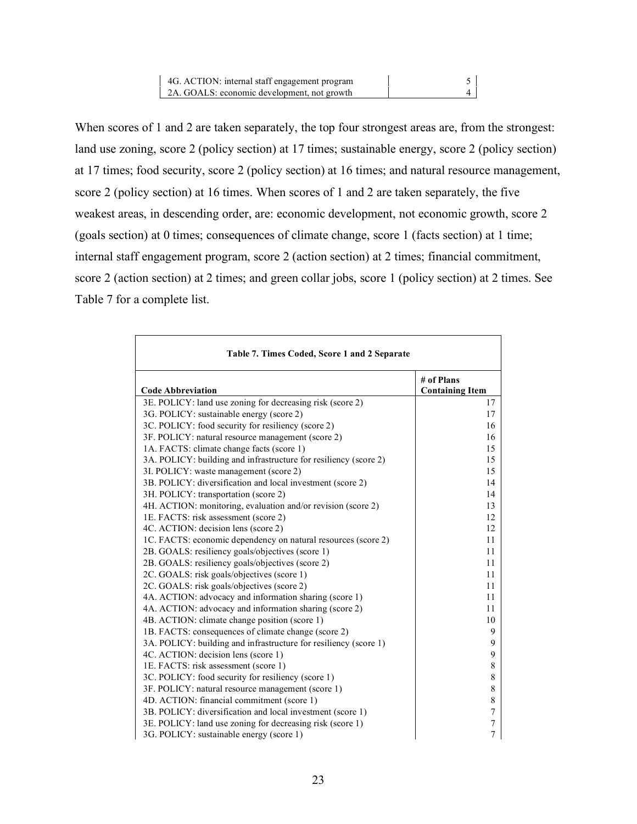| 4G. ACTION: internal staff engagement program |  |
|-----------------------------------------------|--|
| 2A. GOALS: economic development, not growth   |  |

When scores of 1 and 2 are taken separately, the top four strongest areas are, from the strongest: land use zoning, score 2 (policy section) at 17 times; sustainable energy, score 2 (policy section) at 17 times; food security, score 2 (policy section) at 16 times; and natural resource management, score 2 (policy section) at 16 times. When scores of 1 and 2 are taken separately, the five weakest areas, in descending order, are: economic development, not economic growth, score 2 (goals section) at 0 times; consequences of climate change, score 1 (facts section) at 1 time; internal staff engagement program, score 2 (action section) at 2 times; financial commitment, score 2 (action section) at 2 times; and green collar jobs, score 1 (policy section) at 2 times. See Table 7 for a complete list.

| Table 7. Times Coded, Score 1 and 2 Separate                     |                                      |
|------------------------------------------------------------------|--------------------------------------|
| <b>Code Abbreviation</b>                                         | # of Plans<br><b>Containing Item</b> |
| 3E. POLICY: land use zoning for decreasing risk (score 2)        | 17                                   |
| 3G. POLICY: sustainable energy (score 2)                         | 17                                   |
| 3C. POLICY: food security for resiliency (score 2)               | 16                                   |
| 3F. POLICY: natural resource management (score 2)                | 16                                   |
| 1A. FACTS: climate change facts (score 1)                        | 15                                   |
| 3A. POLICY: building and infrastructure for resiliency (score 2) | 15                                   |
| 3I. POLICY: waste management (score 2)                           | 15                                   |
| 3B. POLICY: diversification and local investment (score 2)       | 14                                   |
| 3H. POLICY: transportation (score 2)                             | 14                                   |
| 4H. ACTION: monitoring, evaluation and/or revision (score 2)     | 13                                   |
| 1E. FACTS: risk assessment (score 2)                             | 12                                   |
| 4C. ACTION: decision lens (score 2)                              | 12                                   |
| 1C. FACTS: economic dependency on natural resources (score 2)    | 11                                   |
| 2B. GOALS: resiliency goals/objectives (score 1)                 | 11                                   |
| 2B. GOALS: resiliency goals/objectives (score 2)                 | 11                                   |
| 2C. GOALS: risk goals/objectives (score 1)                       | 11                                   |
| 2C. GOALS: risk goals/objectives (score 2)                       | 11                                   |
| 4A. ACTION: advocacy and information sharing (score 1)           | 11                                   |
| 4A. ACTION: advocacy and information sharing (score 2)           | 11                                   |
| 4B. ACTION: climate change position (score 1)                    | 10                                   |
| 1B. FACTS: consequences of climate change (score 2)              | 9                                    |
| 3A. POLICY: building and infrastructure for resiliency (score 1) | 9                                    |
| 4C. ACTION: decision lens (score 1)                              | 9                                    |
| 1E. FACTS: risk assessment (score 1)                             | 8                                    |
| 3C. POLICY: food security for resiliency (score 1)               | 8                                    |
| 3F. POLICY: natural resource management (score 1)                | 8                                    |
| 4D. ACTION: financial commitment (score 1)                       | $\,$ 8 $\,$                          |
| 3B. POLICY: diversification and local investment (score 1)       | $\boldsymbol{7}$                     |
| 3E. POLICY: land use zoning for decreasing risk (score 1)        | $\boldsymbol{7}$                     |
| 3G. POLICY: sustainable energy (score 1)                         | $\overline{7}$                       |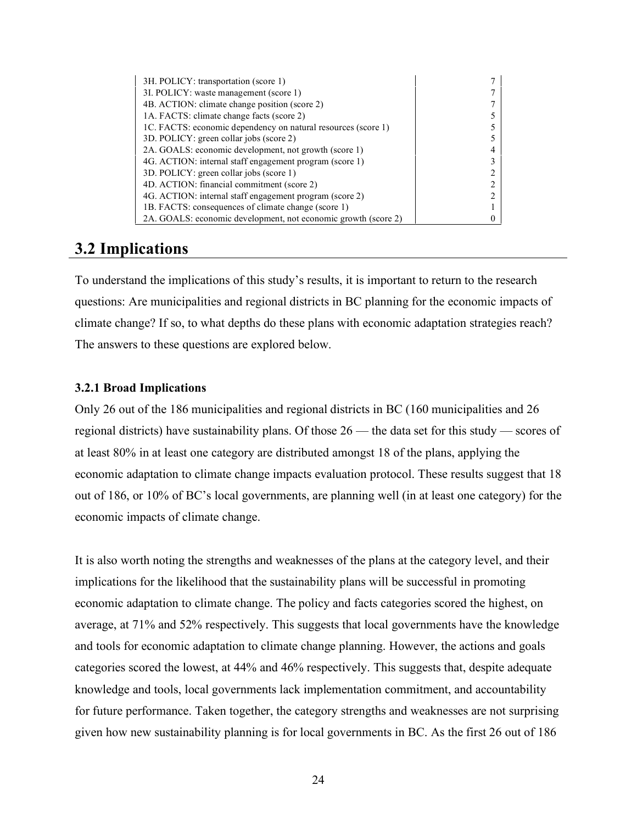| 3H. POLICY: transportation (score 1)                           |  |
|----------------------------------------------------------------|--|
| 3I. POLICY: waste management (score 1)                         |  |
| 4B. ACTION: climate change position (score 2)                  |  |
| 1A. FACTS: climate change facts (score 2)                      |  |
| 1C. FACTS: economic dependency on natural resources (score 1)  |  |
| 3D. POLICY: green collar jobs (score 2)                        |  |
| 2A. GOALS: economic development, not growth (score 1)          |  |
| 4G. ACTION: internal staff engagement program (score 1)        |  |
| 3D. POLICY: green collar jobs (score 1)                        |  |
| 4D. ACTION: financial commitment (score 2)                     |  |
| 4G. ACTION: internal staff engagement program (score 2)        |  |
| 1B. FACTS: consequences of climate change (score 1)            |  |
| 2A. GOALS: economic development, not economic growth (score 2) |  |

# **3.2 Implications**

To understand the implications of this study's results, it is important to return to the research questions: Are municipalities and regional districts in BC planning for the economic impacts of climate change? If so, to what depths do these plans with economic adaptation strategies reach? The answers to these questions are explored below.

#### **3.2.1 Broad Implications**

Only 26 out of the 186 municipalities and regional districts in BC (160 municipalities and 26 regional districts) have sustainability plans. Of those 26 — the data set for this study — scores of at least 80% in at least one category are distributed amongst 18 of the plans, applying the economic adaptation to climate change impacts evaluation protocol. These results suggest that 18 out of 186, or 10% of BC's local governments, are planning well (in at least one category) for the economic impacts of climate change.

It is also worth noting the strengths and weaknesses of the plans at the category level, and their implications for the likelihood that the sustainability plans will be successful in promoting economic adaptation to climate change. The policy and facts categories scored the highest, on average, at 71% and 52% respectively. This suggests that local governments have the knowledge and tools for economic adaptation to climate change planning. However, the actions and goals categories scored the lowest, at 44% and 46% respectively. This suggests that, despite adequate knowledge and tools, local governments lack implementation commitment, and accountability for future performance. Taken together, the category strengths and weaknesses are not surprising given how new sustainability planning is for local governments in BC. As the first 26 out of 186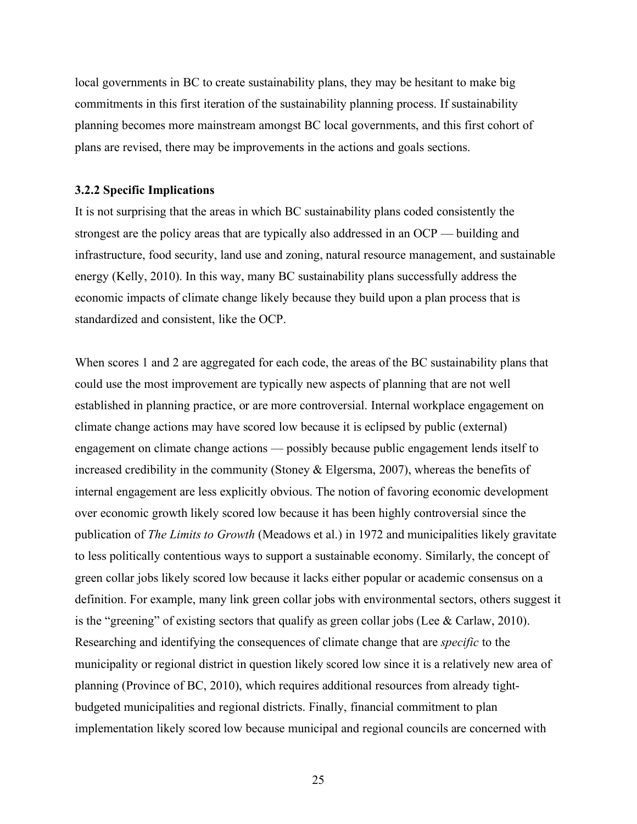local governments in BC to create sustainability plans, they may be hesitant to make big commitments in this first iteration of the sustainability planning process. If sustainability planning becomes more mainstream amongst BC local governments, and this first cohort of plans are revised, there may be improvements in the actions and goals sections.

#### **3.2.2 Specific Implications**

It is not surprising that the areas in which BC sustainability plans coded consistently the strongest are the policy areas that are typically also addressed in an OCP — building and infrastructure, food security, land use and zoning, natural resource management, and sustainable energy (Kelly, 2010). In this way, many BC sustainability plans successfully address the economic impacts of climate change likely because they build upon a plan process that is standardized and consistent, like the OCP.

When scores 1 and 2 are aggregated for each code, the areas of the BC sustainability plans that could use the most improvement are typically new aspects of planning that are not well established in planning practice, or are more controversial. Internal workplace engagement on climate change actions may have scored low because it is eclipsed by public (external) engagement on climate change actions — possibly because public engagement lends itself to increased credibility in the community (Stoney & Elgersma, 2007), whereas the benefits of internal engagement are less explicitly obvious. The notion of favoring economic development over economic growth likely scored low because it has been highly controversial since the publication of *The Limits to Growth* (Meadows et al.) in 1972 and municipalities likely gravitate to less politically contentious ways to support a sustainable economy. Similarly, the concept of green collar jobs likely scored low because it lacks either popular or academic consensus on a definition. For example, many link green collar jobs with environmental sectors, others suggest it is the "greening" of existing sectors that qualify as green collar jobs (Lee & Carlaw, 2010). Researching and identifying the consequences of climate change that are *specific* to the municipality or regional district in question likely scored low since it is a relatively new area of planning (Province of BC, 2010), which requires additional resources from already tightbudgeted municipalities and regional districts. Finally, financial commitment to plan implementation likely scored low because municipal and regional councils are concerned with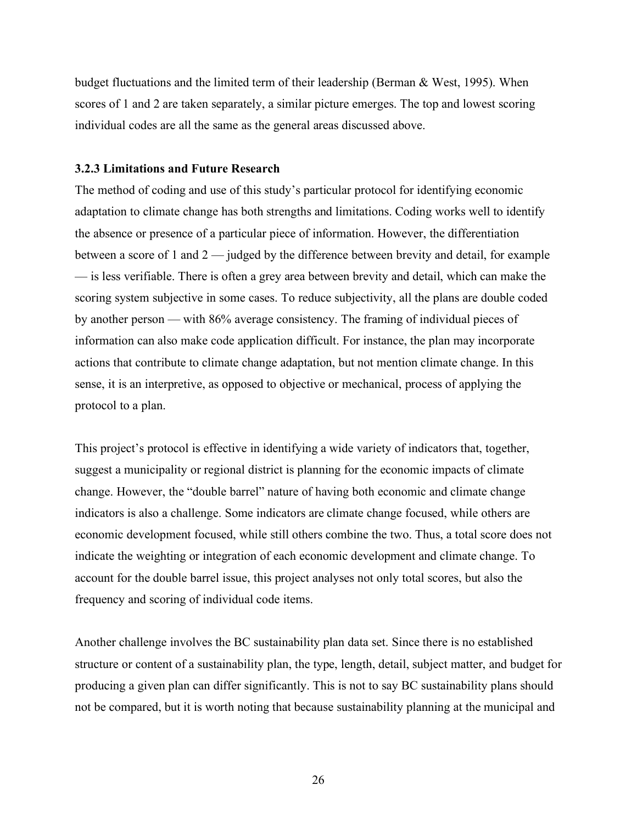budget fluctuations and the limited term of their leadership (Berman  $\&$  West, 1995). When scores of 1 and 2 are taken separately, a similar picture emerges. The top and lowest scoring individual codes are all the same as the general areas discussed above.

#### **3.2.3 Limitations and Future Research**

The method of coding and use of this study's particular protocol for identifying economic adaptation to climate change has both strengths and limitations. Coding works well to identify the absence or presence of a particular piece of information. However, the differentiation between a score of 1 and 2 — judged by the difference between brevity and detail, for example — is less verifiable. There is often a grey area between brevity and detail, which can make the scoring system subjective in some cases. To reduce subjectivity, all the plans are double coded by another person — with 86% average consistency. The framing of individual pieces of information can also make code application difficult. For instance, the plan may incorporate actions that contribute to climate change adaptation, but not mention climate change. In this sense, it is an interpretive, as opposed to objective or mechanical, process of applying the protocol to a plan.

This project's protocol is effective in identifying a wide variety of indicators that, together, suggest a municipality or regional district is planning for the economic impacts of climate change. However, the "double barrel" nature of having both economic and climate change indicators is also a challenge. Some indicators are climate change focused, while others are economic development focused, while still others combine the two. Thus, a total score does not indicate the weighting or integration of each economic development and climate change. To account for the double barrel issue, this project analyses not only total scores, but also the frequency and scoring of individual code items.

Another challenge involves the BC sustainability plan data set. Since there is no established structure or content of a sustainability plan, the type, length, detail, subject matter, and budget for producing a given plan can differ significantly. This is not to say BC sustainability plans should not be compared, but it is worth noting that because sustainability planning at the municipal and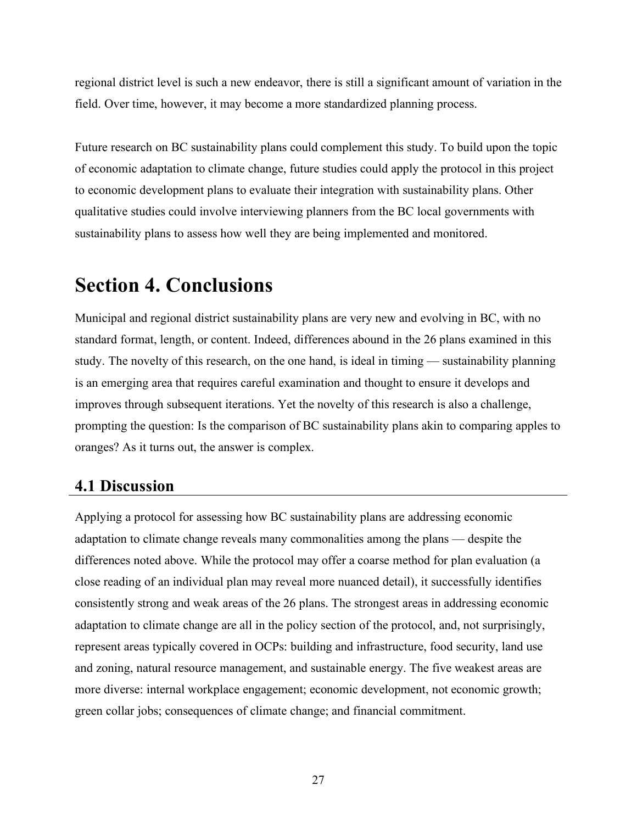regional district level is such a new endeavor, there is still a significant amount of variation in the field. Over time, however, it may become a more standardized planning process.

Future research on BC sustainability plans could complement this study. To build upon the topic of economic adaptation to climate change, future studies could apply the protocol in this project to economic development plans to evaluate their integration with sustainability plans. Other qualitative studies could involve interviewing planners from the BC local governments with sustainability plans to assess how well they are being implemented and monitored.

# **Section 4. Conclusions**

Municipal and regional district sustainability plans are very new and evolving in BC, with no standard format, length, or content. Indeed, differences abound in the 26 plans examined in this study. The novelty of this research, on the one hand, is ideal in timing — sustainability planning is an emerging area that requires careful examination and thought to ensure it develops and improves through subsequent iterations. Yet the novelty of this research is also a challenge, prompting the question: Is the comparison of BC sustainability plans akin to comparing apples to oranges? As it turns out, the answer is complex.

# **4.1 Discussion**

Applying a protocol for assessing how BC sustainability plans are addressing economic adaptation to climate change reveals many commonalities among the plans — despite the differences noted above. While the protocol may offer a coarse method for plan evaluation (a close reading of an individual plan may reveal more nuanced detail), it successfully identifies consistently strong and weak areas of the 26 plans. The strongest areas in addressing economic adaptation to climate change are all in the policy section of the protocol, and, not surprisingly, represent areas typically covered in OCPs: building and infrastructure, food security, land use and zoning, natural resource management, and sustainable energy. The five weakest areas are more diverse: internal workplace engagement; economic development, not economic growth; green collar jobs; consequences of climate change; and financial commitment.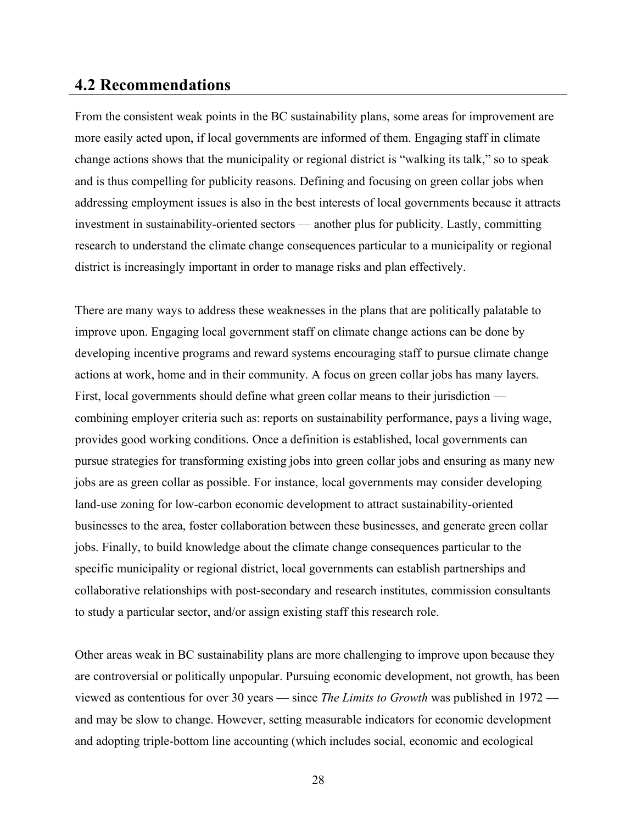# **4.2 Recommendations**

From the consistent weak points in the BC sustainability plans, some areas for improvement are more easily acted upon, if local governments are informed of them. Engaging staff in climate change actions shows that the municipality or regional district is "walking its talk," so to speak and is thus compelling for publicity reasons. Defining and focusing on green collar jobs when addressing employment issues is also in the best interests of local governments because it attracts investment in sustainability-oriented sectors — another plus for publicity. Lastly, committing research to understand the climate change consequences particular to a municipality or regional district is increasingly important in order to manage risks and plan effectively.

There are many ways to address these weaknesses in the plans that are politically palatable to improve upon. Engaging local government staff on climate change actions can be done by developing incentive programs and reward systems encouraging staff to pursue climate change actions at work, home and in their community. A focus on green collar jobs has many layers. First, local governments should define what green collar means to their jurisdiction combining employer criteria such as: reports on sustainability performance, pays a living wage, provides good working conditions. Once a definition is established, local governments can pursue strategies for transforming existing jobs into green collar jobs and ensuring as many new jobs are as green collar as possible. For instance, local governments may consider developing land-use zoning for low-carbon economic development to attract sustainability-oriented businesses to the area, foster collaboration between these businesses, and generate green collar jobs. Finally, to build knowledge about the climate change consequences particular to the specific municipality or regional district, local governments can establish partnerships and collaborative relationships with post-secondary and research institutes, commission consultants to study a particular sector, and/or assign existing staff this research role.

Other areas weak in BC sustainability plans are more challenging to improve upon because they are controversial or politically unpopular. Pursuing economic development, not growth, has been viewed as contentious for over 30 years — since *The Limits to Growth* was published in 1972 and may be slow to change. However, setting measurable indicators for economic development and adopting triple-bottom line accounting (which includes social, economic and ecological

28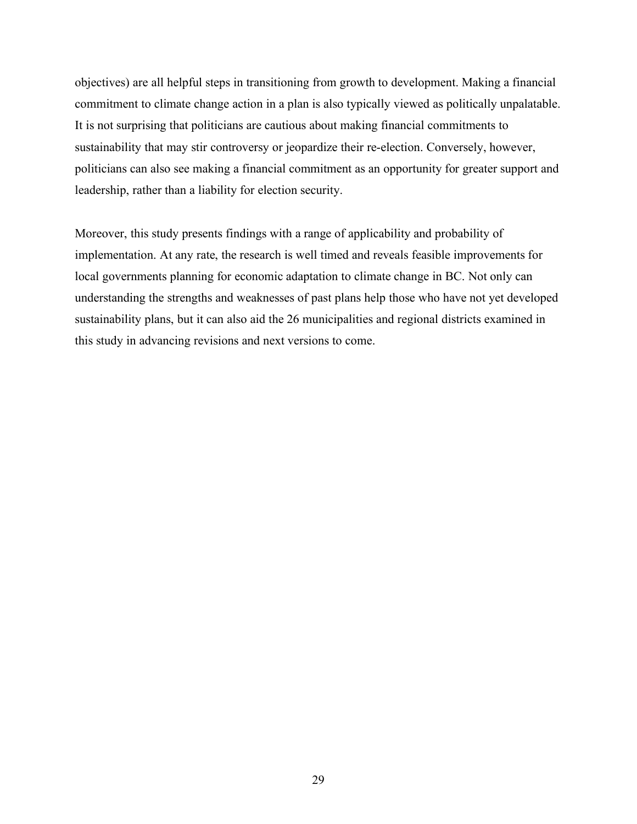objectives) are all helpful steps in transitioning from growth to development. Making a financial commitment to climate change action in a plan is also typically viewed as politically unpalatable. It is not surprising that politicians are cautious about making financial commitments to sustainability that may stir controversy or jeopardize their re-election. Conversely, however, politicians can also see making a financial commitment as an opportunity for greater support and leadership, rather than a liability for election security.

Moreover, this study presents findings with a range of applicability and probability of implementation. At any rate, the research is well timed and reveals feasible improvements for local governments planning for economic adaptation to climate change in BC. Not only can understanding the strengths and weaknesses of past plans help those who have not yet developed sustainability plans, but it can also aid the 26 municipalities and regional districts examined in this study in advancing revisions and next versions to come.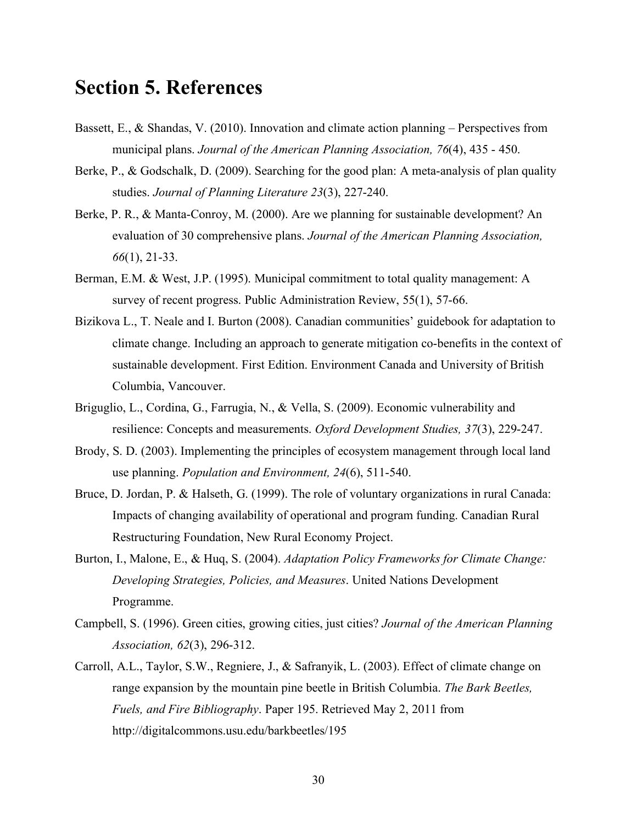# **Section 5. References**

- Bassett, E., & Shandas, V. (2010). Innovation and climate action planning Perspectives from municipal plans. *Journal of the American Planning Association, 76*(4), 435 - 450.
- Berke, P., & Godschalk, D. (2009). Searching for the good plan: A meta-analysis of plan quality studies. *Journal of Planning Literature 23*(3), 227-240.
- Berke, P. R., & Manta-Conroy, M. (2000). Are we planning for sustainable development? An evaluation of 30 comprehensive plans. *Journal of the American Planning Association, 66*(1), 21-33.
- Berman, E.M. & West, J.P. (1995). Municipal commitment to total quality management: A survey of recent progress. Public Administration Review, 55(1), 57-66.
- Bizikova L., T. Neale and I. Burton (2008). Canadian communities' guidebook for adaptation to climate change. Including an approach to generate mitigation co-benefits in the context of sustainable development. First Edition. Environment Canada and University of British Columbia, Vancouver.
- Briguglio, L., Cordina, G., Farrugia, N., & Vella, S. (2009). Economic vulnerability and resilience: Concepts and measurements. *Oxford Development Studies, 37*(3), 229-247.
- Brody, S. D. (2003). Implementing the principles of ecosystem management through local land use planning. *Population and Environment, 24*(6), 511-540.
- Bruce, D. Jordan, P. & Halseth, G. (1999). The role of voluntary organizations in rural Canada: Impacts of changing availability of operational and program funding. Canadian Rural Restructuring Foundation, New Rural Economy Project.
- Burton, I., Malone, E., & Huq, S. (2004). *Adaptation Policy Frameworks for Climate Change: Developing Strategies, Policies, and Measures*. United Nations Development Programme.
- Campbell, S. (1996). Green cities, growing cities, just cities? *Journal of the American Planning Association, 62*(3), 296-312.
- Carroll, A.L., Taylor, S.W., Regniere, J., & Safranyik, L. (2003). Effect of climate change on range expansion by the mountain pine beetle in British Columbia. *The Bark Beetles, Fuels, and Fire Bibliography*. Paper 195. Retrieved May 2, 2011 from http://digitalcommons.usu.edu/barkbeetles/195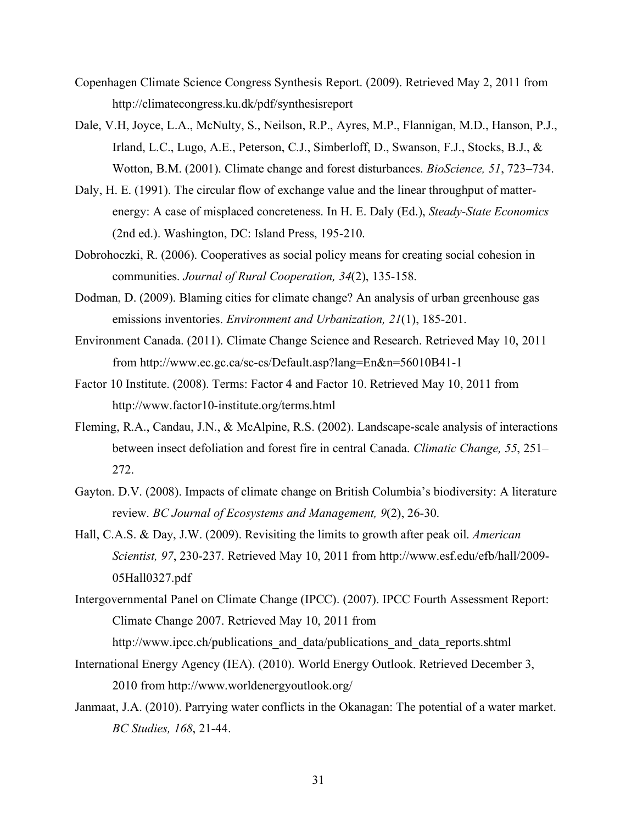- Copenhagen Climate Science Congress Synthesis Report. (2009). Retrieved May 2, 2011 from http://climatecongress.ku.dk/pdf/synthesisreport
- Dale, V.H, Joyce, L.A., McNulty, S., Neilson, R.P., Ayres, M.P., Flannigan, M.D., Hanson, P.J., Irland, L.C., Lugo, A.E., Peterson, C.J., Simberloff, D., Swanson, F.J., Stocks, B.J., & Wotton, B.M. (2001). Climate change and forest disturbances. *BioScience, 51*, 723–734.
- Daly, H. E. (1991). The circular flow of exchange value and the linear throughput of matterenergy: A case of misplaced concreteness. In H. E. Daly (Ed.), *Steady-State Economics* (2nd ed.). Washington, DC: Island Press, 195-210.
- Dobrohoczki, R. (2006). Cooperatives as social policy means for creating social cohesion in communities. *Journal of Rural Cooperation, 34*(2), 135-158.
- Dodman, D. (2009). Blaming cities for climate change? An analysis of urban greenhouse gas emissions inventories. *Environment and Urbanization, 21*(1), 185-201.
- Environment Canada. (2011). Climate Change Science and Research. Retrieved May 10, 2011 from http://www.ec.gc.ca/sc-cs/Default.asp?lang=En&n=56010B41-1
- Factor 10 Institute. (2008). Terms: Factor 4 and Factor 10. Retrieved May 10, 2011 from http://www.factor10-institute.org/terms.html
- Fleming, R.A., Candau, J.N., & McAlpine, R.S. (2002). Landscape-scale analysis of interactions between insect defoliation and forest fire in central Canada. *Climatic Change, 55*, 251– 272.
- Gayton. D.V. (2008). Impacts of climate change on British Columbia's biodiversity: A literature review. *BC Journal of Ecosystems and Management, 9*(2), 26-30.
- Hall, C.A.S. & Day, J.W. (2009). Revisiting the limits to growth after peak oil. *American Scientist, 97*, 230-237. Retrieved May 10, 2011 from http://www.esf.edu/efb/hall/2009- 05Hall0327.pdf
- Intergovernmental Panel on Climate Change (IPCC). (2007). IPCC Fourth Assessment Report: Climate Change 2007. Retrieved May 10, 2011 from http://www.ipcc.ch/publications and data/publications and data reports.shtml
- International Energy Agency (IEA). (2010). World Energy Outlook. Retrieved December 3, 2010 from http://www.worldenergyoutlook.org/
- Janmaat, J.A. (2010). Parrying water conflicts in the Okanagan: The potential of a water market. *BC Studies, 168*, 21-44.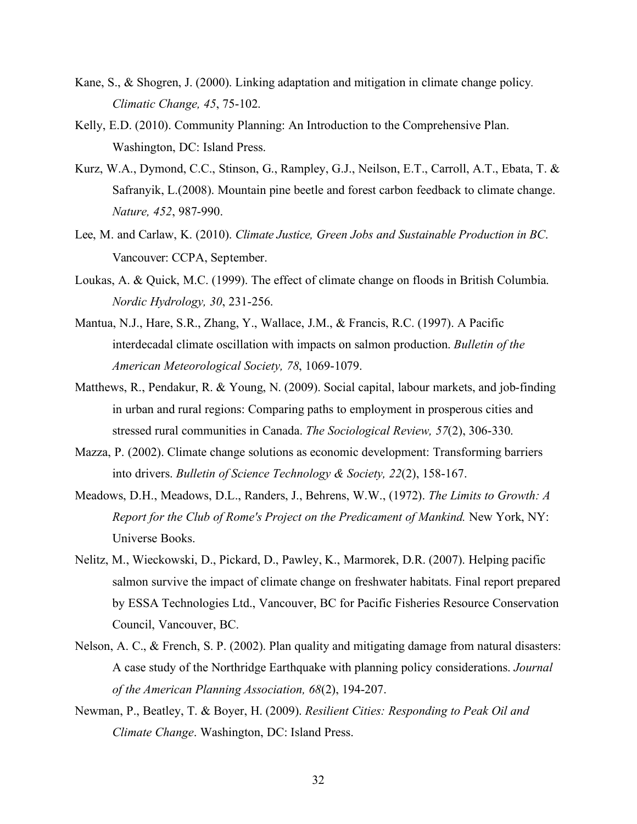- Kane, S., & Shogren, J. (2000). Linking adaptation and mitigation in climate change policy*. Climatic Change, 45*, 75-102.
- Kelly, E.D. (2010). Community Planning: An Introduction to the Comprehensive Plan. Washington, DC: Island Press.
- Kurz, W.A., Dymond, C.C., Stinson, G., Rampley, G.J., Neilson, E.T., Carroll, A.T., Ebata, T. & Safranyik, L.(2008). Mountain pine beetle and forest carbon feedback to climate change. *Nature, 452*, 987-990.
- Lee, M. and Carlaw, K. (2010). *Climate Justice, Green Jobs and Sustainable Production in BC*. Vancouver: CCPA, September.
- Loukas, A. & Quick, M.C. (1999). The effect of climate change on floods in British Columbia. *Nordic Hydrology, 30*, 231-256.
- Mantua, N.J., Hare, S.R., Zhang, Y., Wallace, J.M., & Francis, R.C. (1997). A Pacific interdecadal climate oscillation with impacts on salmon production. *Bulletin of the American Meteorological Society, 78*, 1069-1079.
- Matthews, R., Pendakur, R. & Young, N. (2009). Social capital, labour markets, and job-finding in urban and rural regions: Comparing paths to employment in prosperous cities and stressed rural communities in Canada. *The Sociological Review, 57*(2), 306-330.
- Mazza, P. (2002). Climate change solutions as economic development: Transforming barriers into drivers. *Bulletin of Science Technology & Society, 22*(2), 158-167.
- Meadows, D.H., Meadows, D.L., Randers, J., Behrens, W.W., (1972). *The Limits to Growth: A Report for the Club of Rome's Project on the Predicament of Mankind.* New York, NY: Universe Books.
- Nelitz, M., Wieckowski, D., Pickard, D., Pawley, K., Marmorek, D.R. (2007). Helping pacific salmon survive the impact of climate change on freshwater habitats. Final report prepared by ESSA Technologies Ltd., Vancouver, BC for Pacific Fisheries Resource Conservation Council, Vancouver, BC.
- Nelson, A. C., & French, S. P. (2002). Plan quality and mitigating damage from natural disasters: A case study of the Northridge Earthquake with planning policy considerations. *Journal of the American Planning Association, 68*(2), 194-207.
- Newman, P., Beatley, T. & Boyer, H. (2009). *Resilient Cities: Responding to Peak Oil and Climate Change*. Washington, DC: Island Press.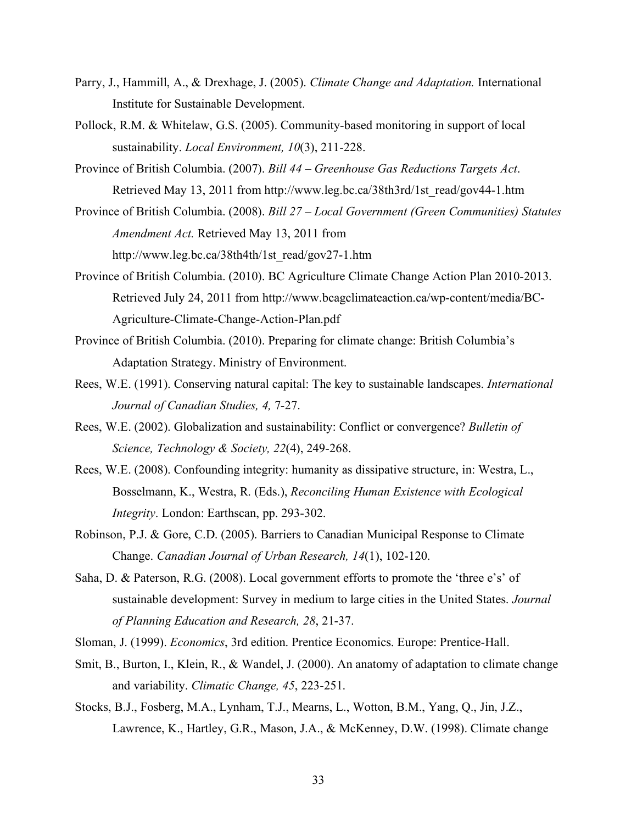- Parry, J., Hammill, A., & Drexhage, J. (2005). *Climate Change and Adaptation.* International Institute for Sustainable Development.
- Pollock, R.M. & Whitelaw, G.S. (2005). Community-based monitoring in support of local sustainability. *Local Environment, 10*(3), 211-228.
- Province of British Columbia. (2007). *Bill 44 – Greenhouse Gas Reductions Targets Act*. Retrieved May 13, 2011 from http://www.leg.bc.ca/38th3rd/1st\_read/gov44-1.htm
- Province of British Columbia. (2008). *Bill 27 – Local Government (Green Communities) Statutes Amendment Act.* Retrieved May 13, 2011 from http://www.leg.bc.ca/38th4th/1st\_read/gov27-1.htm
- Province of British Columbia. (2010). BC Agriculture Climate Change Action Plan 2010-2013. Retrieved July 24, 2011 from http://www.bcagclimateaction.ca/wp-content/media/BC-Agriculture-Climate-Change-Action-Plan.pdf
- Province of British Columbia. (2010). Preparing for climate change: British Columbia's Adaptation Strategy. Ministry of Environment.
- Rees, W.E. (1991). Conserving natural capital: The key to sustainable landscapes. *International Journal of Canadian Studies, 4,* 7-27.
- Rees, W.E. (2002). Globalization and sustainability: Conflict or convergence? *Bulletin of Science, Technology & Society, 22*(4), 249-268.
- Rees, W.E. (2008). Confounding integrity: humanity as dissipative structure, in: Westra, L., Bosselmann, K., Westra, R. (Eds.), *Reconciling Human Existence with Ecological Integrity*. London: Earthscan, pp. 293-302.
- Robinson, P.J. & Gore, C.D. (2005). Barriers to Canadian Municipal Response to Climate Change. *Canadian Journal of Urban Research, 14*(1), 102-120.
- Saha, D. & Paterson, R.G. (2008). Local government efforts to promote the 'three e's' of sustainable development: Survey in medium to large cities in the United States. *Journal of Planning Education and Research, 28*, 21-37.
- Sloman, J. (1999). *Economics*, 3rd edition. Prentice Economics. Europe: Prentice-Hall.
- Smit, B., Burton, I., Klein, R., & Wandel, J. (2000). An anatomy of adaptation to climate change and variability. *Climatic Change, 45*, 223-251.
- Stocks, B.J., Fosberg, M.A., Lynham, T.J., Mearns, L., Wotton, B.M., Yang, Q., Jin, J.Z., Lawrence, K., Hartley, G.R., Mason, J.A., & McKenney, D.W. (1998). Climate change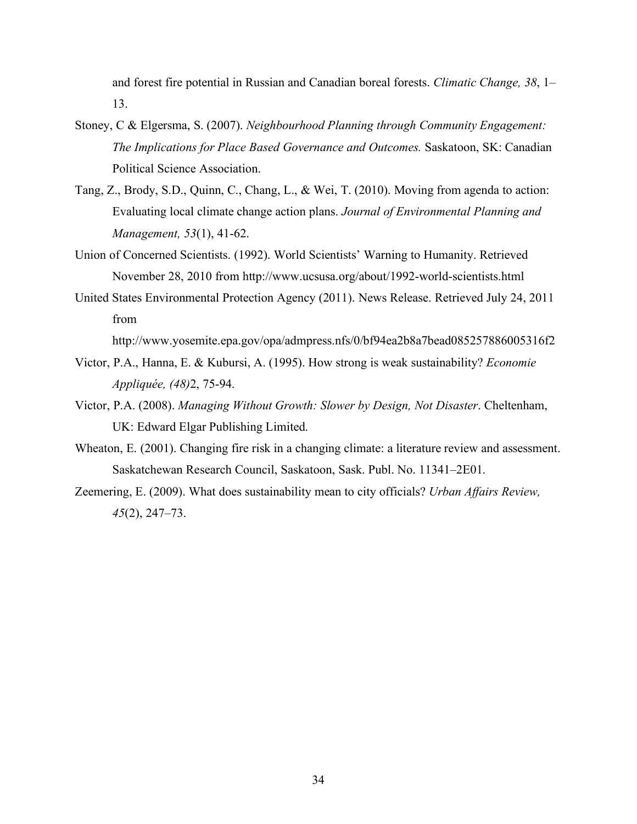and forest fire potential in Russian and Canadian boreal forests. *Climatic Change, 38*, 1– 13.

- Stoney, C & Elgersma, S. (2007). *Neighbourhood Planning through Community Engagement: The Implications for Place Based Governance and Outcomes.* Saskatoon, SK: Canadian Political Science Association.
- Tang, Z., Brody, S.D., Quinn, C., Chang, L., & Wei, T. (2010). Moving from agenda to action: Evaluating local climate change action plans. *Journal of Environmental Planning and Management, 53*(1), 41-62.
- Union of Concerned Scientists. (1992). World Scientists' Warning to Humanity. Retrieved November 28, 2010 from http://www.ucsusa.org/about/1992-world-scientists.html
- United States Environmental Protection Agency (2011). News Release. Retrieved July 24, 2011 from

http://www.yosemite.epa.gov/opa/admpress.nfs/0/bf94ea2b8a7bead085257886005316f2

- Victor, P.A., Hanna, E. & Kubursi, A. (1995). How strong is weak sustainability? *Economie Appliquée, (48)*2, 75-94.
- Victor, P.A. (2008). *Managing Without Growth: Slower by Design, Not Disaster*. Cheltenham, UK: Edward Elgar Publishing Limited.
- Wheaton, E. (2001). Changing fire risk in a changing climate: a literature review and assessment. Saskatchewan Research Council, Saskatoon, Sask. Publ. No. 11341–2E01.
- Zeemering, E. (2009). What does sustainability mean to city officials? *Urban Affairs Review, 45*(2), 247–73.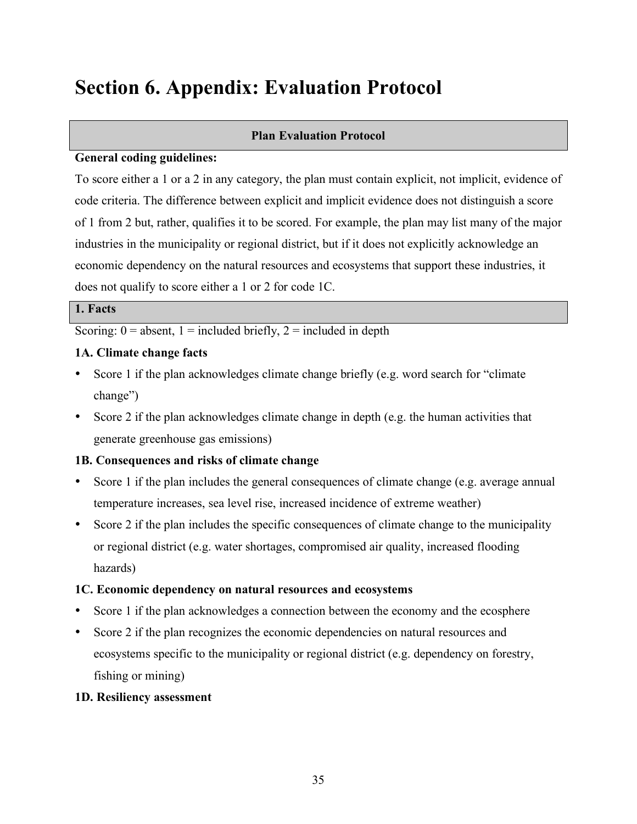# **Section 6. Appendix: Evaluation Protocol**

### **Plan Evaluation Protocol**

#### **General coding guidelines:**

To score either a 1 or a 2 in any category, the plan must contain explicit, not implicit, evidence of code criteria. The difference between explicit and implicit evidence does not distinguish a score of 1 from 2 but, rather, qualifies it to be scored. For example, the plan may list many of the major industries in the municipality or regional district, but if it does not explicitly acknowledge an economic dependency on the natural resources and ecosystems that support these industries, it does not qualify to score either a 1 or 2 for code 1C.

### **1. Facts**

Scoring:  $0 =$  absent,  $1 =$  included briefly,  $2 =$  included in depth

### **1A. Climate change facts**

- Score 1 if the plan acknowledges climate change briefly (e.g. word search for "climate change")
- Score 2 if the plan acknowledges climate change in depth (e.g. the human activities that generate greenhouse gas emissions)

# **1B. Consequences and risks of climate change**

- Score 1 if the plan includes the general consequences of climate change (e.g. average annual temperature increases, sea level rise, increased incidence of extreme weather)
- Score 2 if the plan includes the specific consequences of climate change to the municipality or regional district (e.g. water shortages, compromised air quality, increased flooding hazards)

# **1C. Economic dependency on natural resources and ecosystems**

- Score 1 if the plan acknowledges a connection between the economy and the ecosphere
- Score 2 if the plan recognizes the economic dependencies on natural resources and ecosystems specific to the municipality or regional district (e.g. dependency on forestry, fishing or mining)

# **1D. Resiliency assessment**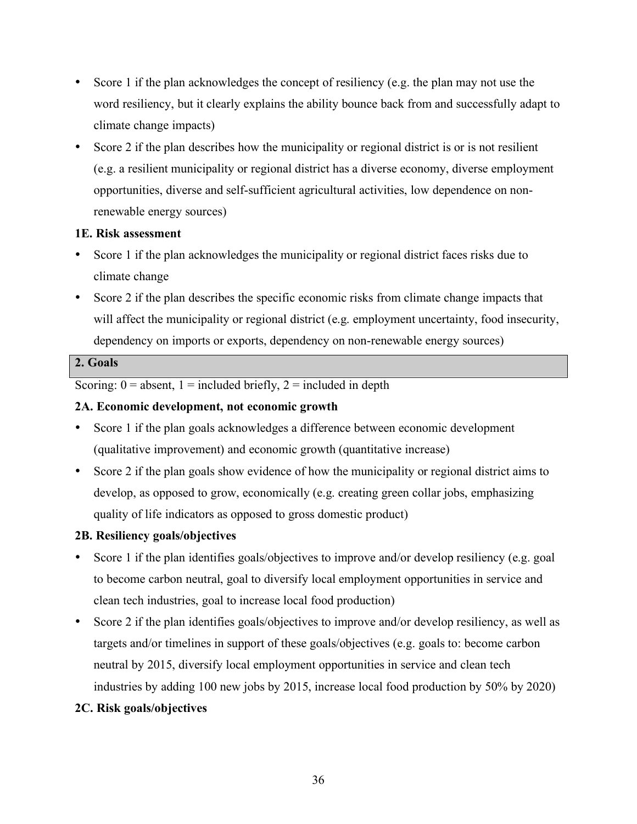- Score 1 if the plan acknowledges the concept of resiliency (e.g. the plan may not use the word resiliency, but it clearly explains the ability bounce back from and successfully adapt to climate change impacts)
- Score 2 if the plan describes how the municipality or regional district is or is not resilient (e.g. a resilient municipality or regional district has a diverse economy, diverse employment opportunities, diverse and self-sufficient agricultural activities, low dependence on nonrenewable energy sources)

# **1E. Risk assessment**

- Score 1 if the plan acknowledges the municipality or regional district faces risks due to climate change
- Score 2 if the plan describes the specific economic risks from climate change impacts that will affect the municipality or regional district (e.g. employment uncertainty, food insecurity, dependency on imports or exports, dependency on non-renewable energy sources)

# **2. Goals**

Scoring:  $0 =$  absent,  $1 =$  included briefly,  $2 =$  included in depth

# **2A. Economic development, not economic growth**

- Score 1 if the plan goals acknowledges a difference between economic development (qualitative improvement) and economic growth (quantitative increase)
- Score 2 if the plan goals show evidence of how the municipality or regional district aims to develop, as opposed to grow, economically (e.g. creating green collar jobs, emphasizing quality of life indicators as opposed to gross domestic product)

# **2B. Resiliency goals/objectives**

- Score 1 if the plan identifies goals/objectives to improve and/or develop resiliency (e.g. goal to become carbon neutral, goal to diversify local employment opportunities in service and clean tech industries, goal to increase local food production)
- Score 2 if the plan identifies goals/objectives to improve and/or develop resiliency, as well as targets and/or timelines in support of these goals/objectives (e.g. goals to: become carbon neutral by 2015, diversify local employment opportunities in service and clean tech industries by adding 100 new jobs by 2015, increase local food production by 50% by 2020)

# **2C. Risk goals/objectives**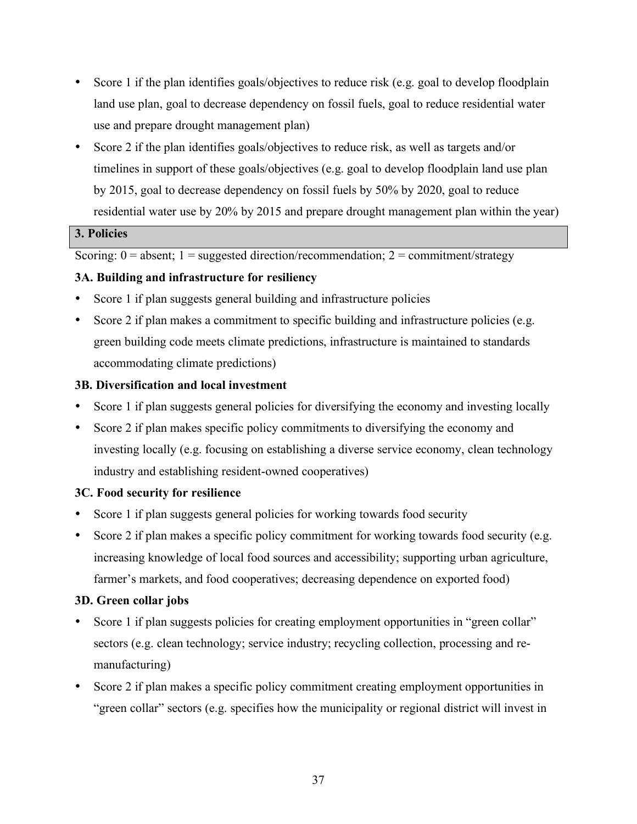- Score 1 if the plan identifies goals/objectives to reduce risk (e.g. goal to develop floodplain land use plan, goal to decrease dependency on fossil fuels, goal to reduce residential water use and prepare drought management plan)
- Score 2 if the plan identifies goals/objectives to reduce risk, as well as targets and/or timelines in support of these goals/objectives (e.g. goal to develop floodplain land use plan by 2015, goal to decrease dependency on fossil fuels by 50% by 2020, goal to reduce residential water use by 20% by 2015 and prepare drought management plan within the year)

# **3. Policies**

Scoring:  $0 =$  absent;  $1 =$  suggested direction/recommendation;  $2 =$  commitment/strategy

# **3A. Building and infrastructure for resiliency**

- Score 1 if plan suggests general building and infrastructure policies
- Score 2 if plan makes a commitment to specific building and infrastructure policies (e.g. green building code meets climate predictions, infrastructure is maintained to standards accommodating climate predictions)

# **3B. Diversification and local investment**

- Score 1 if plan suggests general policies for diversifying the economy and investing locally
- Score 2 if plan makes specific policy commitments to diversifying the economy and investing locally (e.g. focusing on establishing a diverse service economy, clean technology industry and establishing resident-owned cooperatives)

# **3C. Food security for resilience**

- Score 1 if plan suggests general policies for working towards food security
- Score 2 if plan makes a specific policy commitment for working towards food security (e.g. increasing knowledge of local food sources and accessibility; supporting urban agriculture, farmer's markets, and food cooperatives; decreasing dependence on exported food)

# **3D. Green collar jobs**

- Score 1 if plan suggests policies for creating employment opportunities in "green collar" sectors (e.g. clean technology; service industry; recycling collection, processing and remanufacturing)
- Score 2 if plan makes a specific policy commitment creating employment opportunities in "green collar" sectors (e.g. specifies how the municipality or regional district will invest in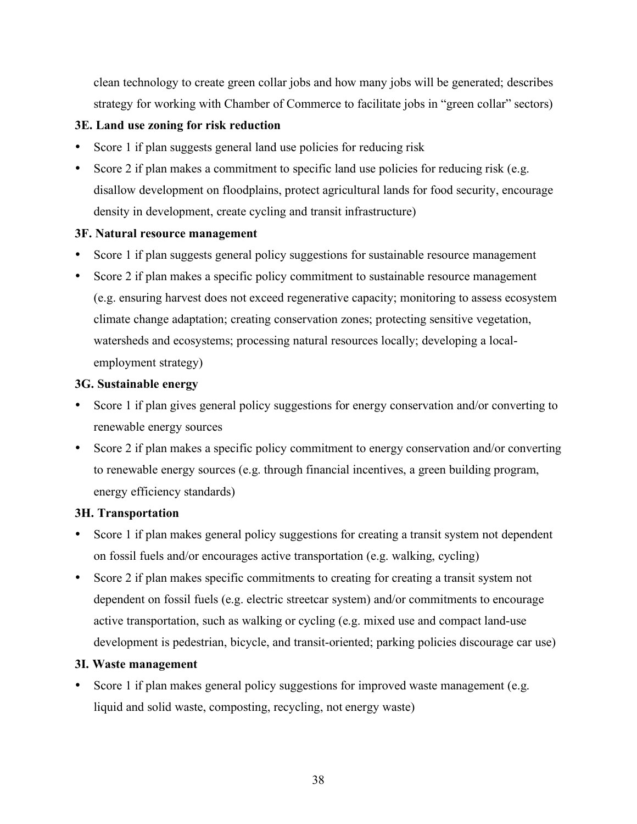clean technology to create green collar jobs and how many jobs will be generated; describes strategy for working with Chamber of Commerce to facilitate jobs in "green collar" sectors)

# **3E. Land use zoning for risk reduction**

- Score 1 if plan suggests general land use policies for reducing risk
- Score 2 if plan makes a commitment to specific land use policies for reducing risk (e.g. disallow development on floodplains, protect agricultural lands for food security, encourage density in development, create cycling and transit infrastructure)

### **3F. Natural resource management**

- Score 1 if plan suggests general policy suggestions for sustainable resource management
- Score 2 if plan makes a specific policy commitment to sustainable resource management (e.g. ensuring harvest does not exceed regenerative capacity; monitoring to assess ecosystem climate change adaptation; creating conservation zones; protecting sensitive vegetation, watersheds and ecosystems; processing natural resources locally; developing a localemployment strategy)

# **3G. Sustainable energy**

- Score 1 if plan gives general policy suggestions for energy conservation and/or converting to renewable energy sources
- Score 2 if plan makes a specific policy commitment to energy conservation and/or converting to renewable energy sources (e.g. through financial incentives, a green building program, energy efficiency standards)

# **3H. Transportation**

- Score 1 if plan makes general policy suggestions for creating a transit system not dependent on fossil fuels and/or encourages active transportation (e.g. walking, cycling)
- Score 2 if plan makes specific commitments to creating for creating a transit system not dependent on fossil fuels (e.g. electric streetcar system) and/or commitments to encourage active transportation, such as walking or cycling (e.g. mixed use and compact land-use development is pedestrian, bicycle, and transit-oriented; parking policies discourage car use)

# **3I. Waste management**

Score 1 if plan makes general policy suggestions for improved waste management (e.g. liquid and solid waste, composting, recycling, not energy waste)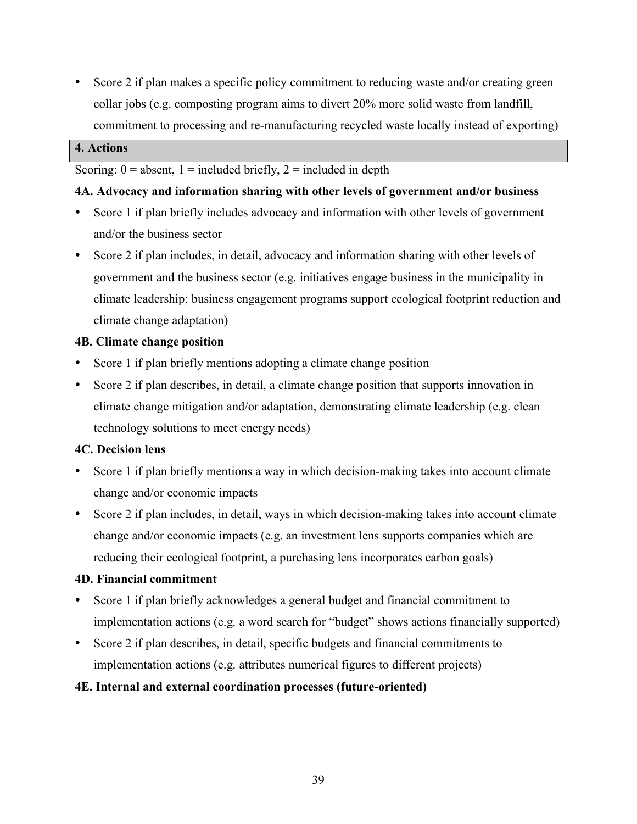• Score 2 if plan makes a specific policy commitment to reducing waste and/or creating green collar jobs (e.g. composting program aims to divert 20% more solid waste from landfill, commitment to processing and re-manufacturing recycled waste locally instead of exporting)

#### **4. Actions**

Scoring:  $0 =$  absent,  $1 =$  included briefly,  $2 =$  included in depth

# **4A. Advocacy and information sharing with other levels of government and/or business**

- Score 1 if plan briefly includes advocacy and information with other levels of government and/or the business sector
- Score 2 if plan includes, in detail, advocacy and information sharing with other levels of government and the business sector (e.g. initiatives engage business in the municipality in climate leadership; business engagement programs support ecological footprint reduction and climate change adaptation)

# **4B. Climate change position**

- Score 1 if plan briefly mentions adopting a climate change position
- Score 2 if plan describes, in detail, a climate change position that supports innovation in climate change mitigation and/or adaptation, demonstrating climate leadership (e.g. clean technology solutions to meet energy needs)

# **4C. Decision lens**

- Score 1 if plan briefly mentions a way in which decision-making takes into account climate change and/or economic impacts
- Score 2 if plan includes, in detail, ways in which decision-making takes into account climate change and/or economic impacts (e.g. an investment lens supports companies which are reducing their ecological footprint, a purchasing lens incorporates carbon goals)

# **4D. Financial commitment**

- Score 1 if plan briefly acknowledges a general budget and financial commitment to implementation actions (e.g. a word search for "budget" shows actions financially supported)
- Score 2 if plan describes, in detail, specific budgets and financial commitments to implementation actions (e.g. attributes numerical figures to different projects)

# **4E. Internal and external coordination processes (future-oriented)**